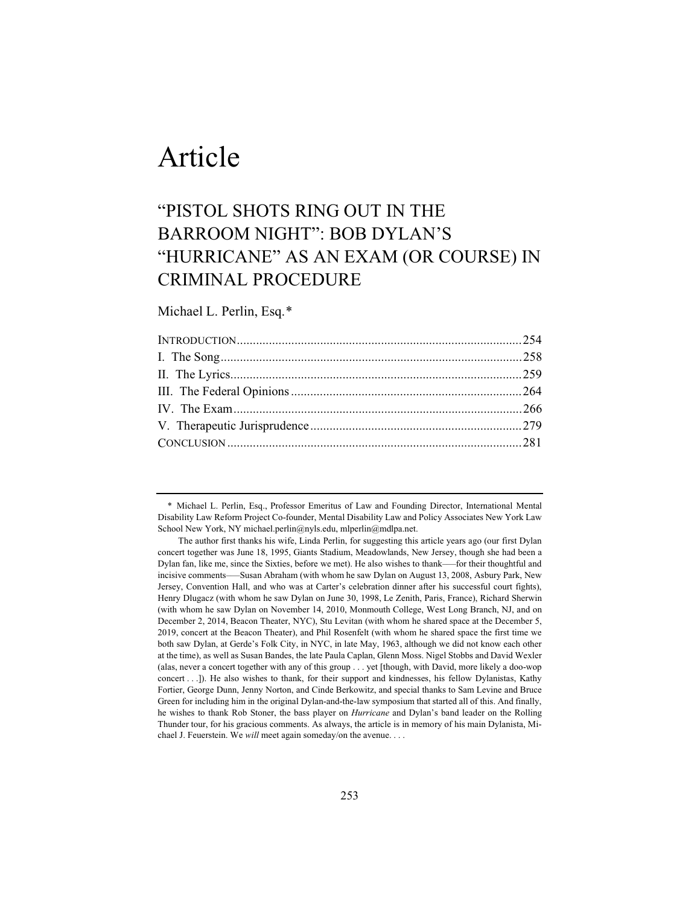# Article

# "PISTOL SHOTS RING OUT IN THE BARROOM NIGHT": BOB DYLAN'S "HURRICANE" AS AN EXAM (OR COURSE) IN CRIMINAL PROCEDURE

Michael L. Perlin, Esq.\*

<sup>\*</sup> Michael L. Perlin, Esq., Professor Emeritus of Law and Founding Director, International Mental Disability Law Reform Project Co-founder, Mental Disability Law and Policy Associates New York Law School New York, NY michael.perlin@nyls.edu, mlperlin@mdlpa.net.

The author first thanks his wife, Linda Perlin, for suggesting this article years ago (our first Dylan concert together was June 18, 1995, Giants Stadium, Meadowlands, New Jersey, though she had been a Dylan fan, like me, since the Sixties, before we met). He also wishes to thank–—for their thoughtful and incisive comments–—Susan Abraham (with whom he saw Dylan on August 13, 2008, Asbury Park, New Jersey, Convention Hall, and who was at Carter's celebration dinner after his successful court fights), Henry Dlugacz (with whom he saw Dylan on June 30, 1998, Le Zenith, Paris, France), Richard Sherwin (with whom he saw Dylan on November 14, 2010, Monmouth College, West Long Branch, NJ, and on December 2, 2014, Beacon Theater, NYC), Stu Levitan (with whom he shared space at the December 5, 2019, concert at the Beacon Theater), and Phil Rosenfelt (with whom he shared space the first time we both saw Dylan, at Gerde's Folk City, in NYC, in late May, 1963, although we did not know each other at the time), as well as Susan Bandes, the late Paula Caplan, Glenn Moss. Nigel Stobbs and David Wexler (alas, never a concert together with any of this group . . . yet [though, with David, more likely a doo-wop concert . . .]). He also wishes to thank, for their support and kindnesses, his fellow Dylanistas, Kathy Fortier, George Dunn, Jenny Norton, and Cinde Berkowitz, and special thanks to Sam Levine and Bruce Green for including him in the original Dylan-and-the-law symposium that started all of this. And finally, he wishes to thank Rob Stoner, the bass player on *Hurricane* and Dylan's band leader on the Rolling Thunder tour, for his gracious comments. As always, the article is in memory of his main Dylanista, Michael J. Feuerstein. We *will* meet again someday/on the avenue. . . .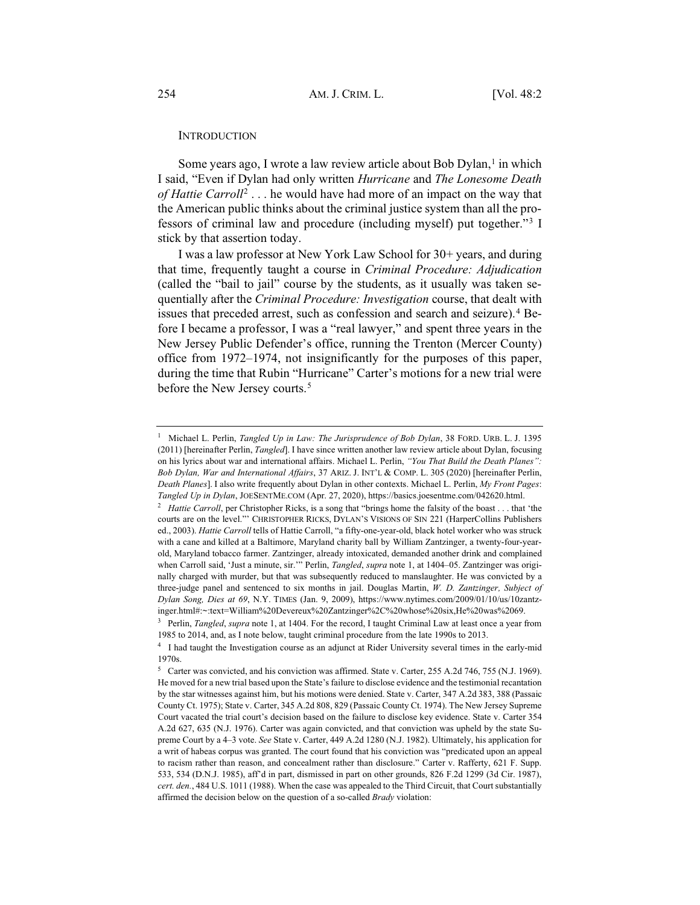#### **INTRODUCTION**

Some years ago, I wrote a law review article about Bob Dylan,<sup>1</sup> in which I said, "Even if Dylan had only written *Hurricane* and *The Lonesome Death of Hattie Carroll*<sup>2</sup> . . . he would have had more of an impact on the way that the American public thinks about the criminal justice system than all the professors of criminal law and procedure (including myself) put together."3 I stick by that assertion today.

I was a law professor at New York Law School for 30+ years, and during that time, frequently taught a course in *Criminal Procedure: Adjudication* (called the "bail to jail" course by the students, as it usually was taken sequentially after the *Criminal Procedure: Investigation* course, that dealt with issues that preceded arrest, such as confession and search and seizure).<sup>4</sup> Before I became a professor, I was a "real lawyer," and spent three years in the New Jersey Public Defender's office, running the Trenton (Mercer County) office from 1972–1974, not insignificantly for the purposes of this paper, during the time that Rubin "Hurricane" Carter's motions for a new trial were before the New Jersey courts.<sup>5</sup>

<sup>1</sup> Michael L. Perlin, *Tangled Up in Law: The Jurisprudence of Bob Dylan*, 38 FORD. URB. L. J. 1395 (2011) [hereinafter Perlin, *Tangled*]. I have since written another law review article about Dylan, focusing on his lyrics about war and international affairs. Michael L. Perlin, *"You That Build the Death Planes": Bob Dylan, War and International Affairs*, 37 ARIZ. J. INT'L & COMP. L. 305 (2020) [hereinafter Perlin, *Death Planes*]. I also write frequently about Dylan in other contexts. Michael L. Perlin, *My Front Pages*: *Tangled Up in Dylan*, JOESENTME.COM (Apr. 27, 2020), https://basics.joesentme.com/042620.html.

<sup>&</sup>lt;sup>2</sup> *Hattie Carroll*, per Christopher Ricks, is a song that "brings home the falsity of the boast . . . that 'the courts are on the level."' CHRISTOPHER RICKS, DYLAN'S VISIONS OF SIN 221 (HarperCollins Publishers ed., 2003). *Hattie Carroll* tells of Hattie Carroll, "a fifty-one-year-old, black hotel worker who was struck with a cane and killed at a Baltimore, Maryland charity ball by William Zantzinger, a twenty-four-yearold, Maryland tobacco farmer. Zantzinger, already intoxicated, demanded another drink and complained when Carroll said, 'Just a minute, sir.'" Perlin, *Tangled*, *supra* note 1, at 1404–05. Zantzinger was originally charged with murder, but that was subsequently reduced to manslaughter. He was convicted by a three-judge panel and sentenced to six months in jail. Douglas Martin, *W. D. Zantzinger, Subject of Dylan Song, Dies at 69*, N.Y. TIMES (Jan. 9, 2009), https://www.nytimes.com/2009/01/10/us/10zantzinger.html#:~:text=William%20Devereux%20Zantzinger%2C%20whose%20six,He%20was%2069.

<sup>3</sup> Perlin, *Tangled*, *supra* note 1, at 1404. For the record, I taught Criminal Law at least once a year from 1985 to 2014, and, as I note below, taught criminal procedure from the late 1990s to 2013.

<sup>4</sup> I had taught the Investigation course as an adjunct at Rider University several times in the early-mid 1970s.

<sup>5</sup> Carter was convicted, and his conviction was affirmed. State v. Carter, 255 A.2d 746, 755 (N.J. 1969). He moved for a new trial based upon the State's failure to disclose evidence and the testimonial recantation by the star witnesses against him, but his motions were denied. State v. Carter, 347 A.2d 383, 388 (Passaic County Ct. 1975); State v. Carter, 345 A.2d 808, 829 (Passaic County Ct. 1974). The New Jersey Supreme Court vacated the trial court's decision based on the failure to disclose key evidence. State v. Carter 354 A.2d 627, 635 (N.J. 1976). Carter was again convicted, and that conviction was upheld by the state Supreme Court by a 4–3 vote. *See* State v. Carter, 449 A.2d 1280 (N.J. 1982). Ultimately, his application for a writ of habeas corpus was granted. The court found that his conviction was "predicated upon an appeal to racism rather than reason, and concealment rather than disclosure." Carter v. Rafferty, 621 F. Supp. 533, 534 (D.N.J. 1985), aff'd in part, dismissed in part on other grounds, 826 F.2d 1299 (3d Cir. 1987), *cert. den.*, 484 U.S. 1011 (1988). When the case was appealed to the Third Circuit, that Court substantially affirmed the decision below on the question of a so-called *Brady* violation: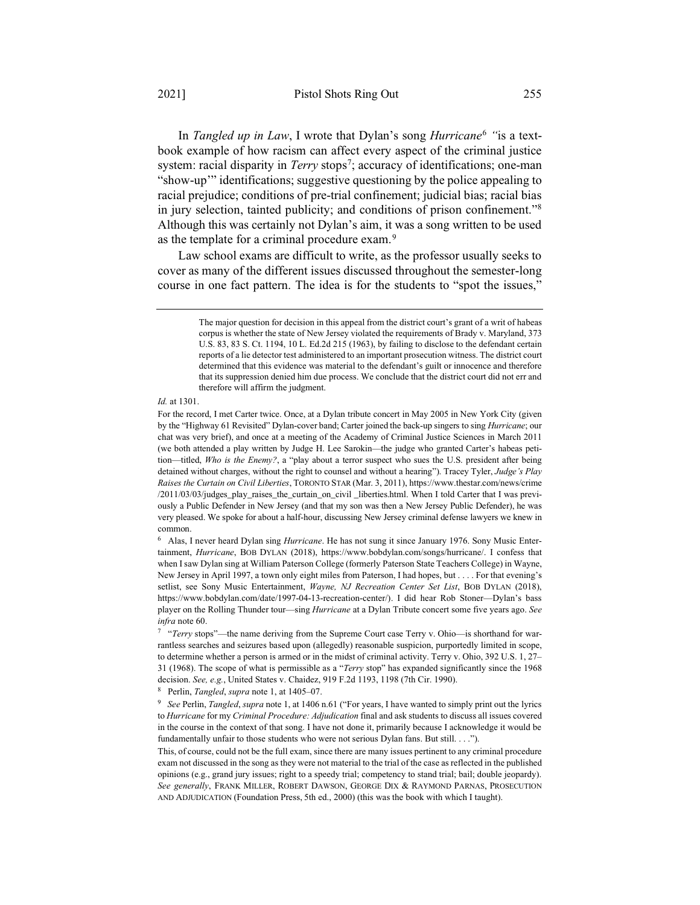In *Tangled up in Law*, I wrote that Dylan's song *Hurricane*<sup>6</sup> *"*is a textbook example of how racism can affect every aspect of the criminal justice system: racial disparity in *Terry* stops<sup>7</sup>; accuracy of identifications; one-man "show-up'" identifications; suggestive questioning by the police appealing to racial prejudice; conditions of pre-trial confinement; judicial bias; racial bias in jury selection, tainted publicity; and conditions of prison confinement."8 Although this was certainly not Dylan's aim, it was a song written to be used as the template for a criminal procedure exam.<sup>9</sup>

Law school exams are difficult to write, as the professor usually seeks to cover as many of the different issues discussed throughout the semester-long course in one fact pattern. The idea is for the students to "spot the issues,"

#### *Id.* at 1301.

<sup>6</sup> Alas, I never heard Dylan sing *Hurricane*. He has not sung it since January 1976. Sony Music Entertainment, *Hurricane*, BOB DYLAN (2018), https://www.bobdylan.com/songs/hurricane/. I confess that when I saw Dylan sing at William Paterson College (formerly Paterson State Teachers College) in Wayne, New Jersey in April 1997, a town only eight miles from Paterson, I had hopes, but . . . . For that evening's setlist, see Sony Music Entertainment, *Wayne, NJ Recreation Center Set List*, BOB DYLAN (2018), https://www.bobdylan.com/date/1997-04-13-recreation-center/). I did hear Rob Stoner—Dylan's bass player on the Rolling Thunder tour—sing *Hurricane* at a Dylan Tribute concert some five years ago. *See infra* note 60.

<sup>7</sup> "*Terry* stops"—the name deriving from the Supreme Court case Terry v. Ohio—is shorthand for warrantless searches and seizures based upon (allegedly) reasonable suspicion, purportedly limited in scope, to determine whether a person is armed or in the midst of criminal activity. Terry v. Ohio, 392 U.S. 1, 27– 31 (1968). The scope of what is permissible as a "*Terry* stop" has expanded significantly since the 1968 decision. *See, e.g.*, United States v. Chaidez, 919 F.2d 1193, 1198 (7th Cir. 1990).

<sup>8</sup> Perlin, *Tangled*, *supra* note 1, at 1405–07.

<sup>9</sup> *See* Perlin, *Tangled*, *supra* note 1, at 1406 n.61 ("For years, I have wanted to simply print out the lyrics to *Hurricane* for my *Criminal Procedure: Adjudication* final and ask students to discuss all issues covered in the course in the context of that song. I have not done it, primarily because I acknowledge it would be fundamentally unfair to those students who were not serious Dylan fans. But still. . . .").

This, of course, could not be the full exam, since there are many issues pertinent to any criminal procedure exam not discussed in the song as they were not material to the trial of the case as reflected in the published opinions (e.g., grand jury issues; right to a speedy trial; competency to stand trial; bail; double jeopardy). *See generally*, FRANK MILLER, ROBERT DAWSON, GEORGE DIX & RAYMOND PARNAS, PROSECUTION AND ADJUDICATION (Foundation Press, 5th ed., 2000) (this was the book with which I taught).

The major question for decision in this appeal from the district court's grant of a writ of habeas corpus is whether the state of New Jersey violated the requirements of Brady v. Maryland, 373 U.S. 83, 83 S. Ct. 1194, 10 L. Ed.2d 215 (1963), by failing to disclose to the defendant certain reports of a lie detector test administered to an important prosecution witness. The district court determined that this evidence was material to the defendant's guilt or innocence and therefore that its suppression denied him due process. We conclude that the district court did not err and therefore will affirm the judgment.

For the record, I met Carter twice. Once, at a Dylan tribute concert in May 2005 in New York City (given by the "Highway 61 Revisited" Dylan-cover band; Carter joined the back-up singers to sing *Hurricane*; our chat was very brief), and once at a meeting of the Academy of Criminal Justice Sciences in March 2011 (we both attended a play written by Judge H. Lee Sarokin—the judge who granted Carter's habeas petition—titled, *Who is the Enemy?*, a "play about a terror suspect who sues the U.S. president after being detained without charges, without the right to counsel and without a hearing"). Tracey Tyler, *Judge's Play Raises the Curtain on Civil Liberties*, TORONTO STAR (Mar. 3, 2011), https://www.thestar.com/news/crime /2011/03/03/judges\_play\_raises\_the\_curtain\_on\_civil \_liberties.html. When I told Carter that I was previously a Public Defender in New Jersey (and that my son was then a New Jersey Public Defender), he was very pleased. We spoke for about a half-hour, discussing New Jersey criminal defense lawyers we knew in common.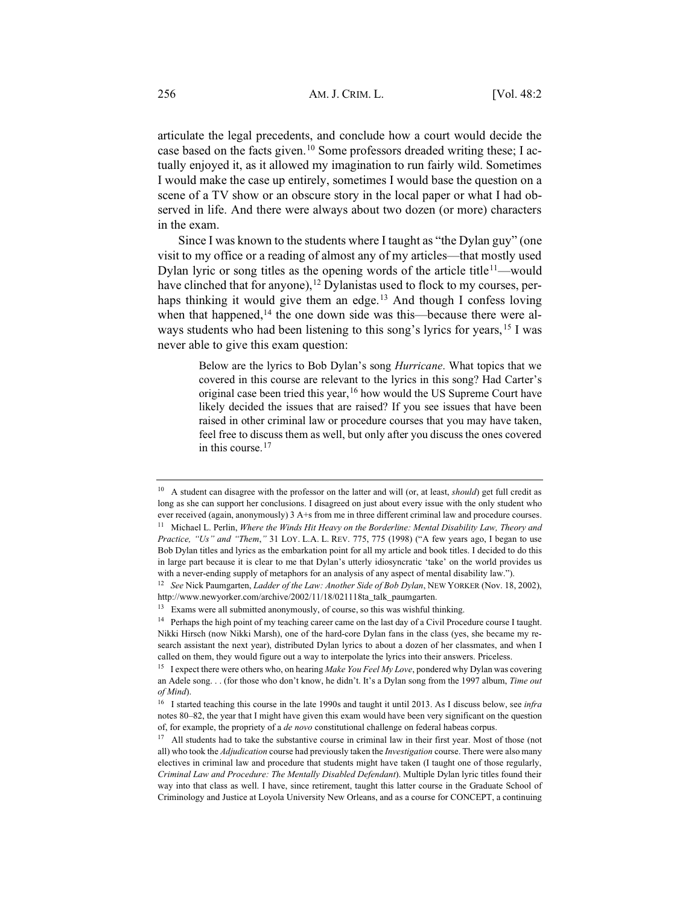articulate the legal precedents, and conclude how a court would decide the case based on the facts given.10 Some professors dreaded writing these; I actually enjoyed it, as it allowed my imagination to run fairly wild. Sometimes I would make the case up entirely, sometimes I would base the question on a scene of a TV show or an obscure story in the local paper or what I had observed in life. And there were always about two dozen (or more) characters in the exam.

Since I was known to the students where I taught as "the Dylan guy" (one visit to my office or a reading of almost any of my articles—that mostly used Dylan lyric or song titles as the opening words of the article title<sup>11</sup>—would have clinched that for anyone),<sup>12</sup> Dylanistas used to flock to my courses, perhaps thinking it would give them an edge.<sup>13</sup> And though I confess loving when that happened, $14$  the one down side was this—because there were always students who had been listening to this song's lyrics for years, <sup>15</sup> I was never able to give this exam question:

> Below are the lyrics to Bob Dylan's song *Hurricane*. What topics that we covered in this course are relevant to the lyrics in this song? Had Carter's original case been tried this year, <sup>16</sup> how would the US Supreme Court have likely decided the issues that are raised? If you see issues that have been raised in other criminal law or procedure courses that you may have taken, feel free to discuss them as well, but only after you discuss the ones covered in this course.<sup>17</sup>

<sup>&</sup>lt;sup>10</sup> A student can disagree with the professor on the latter and will (or, at least, *should*) get full credit as long as she can support her conclusions. I disagreed on just about every issue with the only student who ever received (again, anonymously) 3 A+s from me in three different criminal law and procedure courses. <sup>11</sup> Michael L. Perlin, *Where the Winds Hit Heavy on the Borderline: Mental Disability Law, Theory and Practice, "Us" and "Them*,*"* 31 LOY. L.A. L. REV. 775, 775 (1998) ("A few years ago, I began to use Bob Dylan titles and lyrics as the embarkation point for all my article and book titles. I decided to do this in large part because it is clear to me that Dylan's utterly idiosyncratic 'take' on the world provides us with a never-ending supply of metaphors for an analysis of any aspect of mental disability law.").

<sup>12</sup> *See* Nick Paumgarten, *Ladder of the Law: Another Side of Bob Dylan*, NEW YORKER (Nov. 18, 2002), http://www.newyorker.com/archive/2002/11/18/021118ta\_talk\_paumgarten.

<sup>&</sup>lt;sup>13</sup> Exams were all submitted anonymously, of course, so this was wishful thinking.

<sup>&</sup>lt;sup>14</sup> Perhaps the high point of my teaching career came on the last day of a Civil Procedure course I taught. Nikki Hirsch (now Nikki Marsh), one of the hard-core Dylan fans in the class (yes, she became my research assistant the next year), distributed Dylan lyrics to about a dozen of her classmates, and when I called on them, they would figure out a way to interpolate the lyrics into their answers. Priceless.

<sup>&</sup>lt;sup>15</sup> I expect there were others who, on hearing *Make You Feel My Love*, pondered why Dylan was covering an Adele song. . . (for those who don't know, he didn't. It's a Dylan song from the 1997 album, *Time out of Mind*).

<sup>16</sup> I started teaching this course in the late 1990s and taught it until 2013. As I discuss below, see *infra* notes 80–82, the year that I might have given this exam would have been very significant on the question of, for example, the propriety of a *de novo* constitutional challenge on federal habeas corpus.

<sup>&</sup>lt;sup>17</sup> All students had to take the substantive course in criminal law in their first year. Most of those (not all) who took the *Adjudication* course had previously taken the *Investigation* course. There were also many electives in criminal law and procedure that students might have taken (I taught one of those regularly, *Criminal Law and Procedure: The Mentally Disabled Defendant*). Multiple Dylan lyric titles found their way into that class as well. I have, since retirement, taught this latter course in the Graduate School of Criminology and Justice at Loyola University New Orleans, and as a course for CONCEPT, a continuing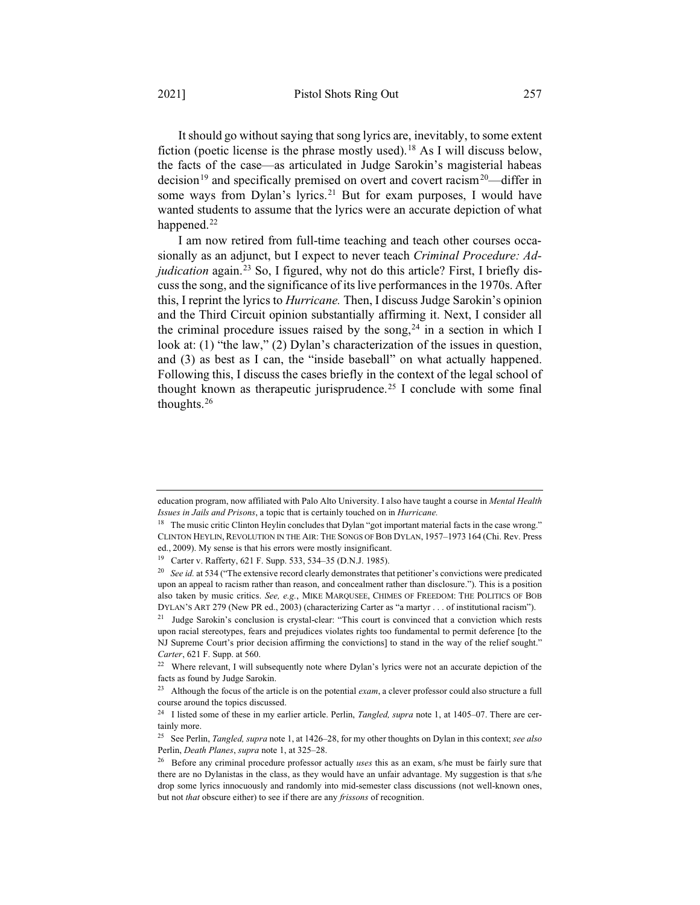It should go without saying that song lyrics are, inevitably, to some extent fiction (poetic license is the phrase mostly used).<sup>18</sup> As I will discuss below, the facts of the case—as articulated in Judge Sarokin's magisterial habeas decision<sup>19</sup> and specifically premised on overt and covert racism<sup>20</sup>—differ in some ways from Dylan's lyrics.<sup>21</sup> But for exam purposes, I would have wanted students to assume that the lyrics were an accurate depiction of what happened.<sup>22</sup>

I am now retired from full-time teaching and teach other courses occasionally as an adjunct, but I expect to never teach *Criminal Procedure: Adjudication* again.<sup>23</sup> So, I figured, why not do this article? First, I briefly discuss the song, and the significance of its live performances in the 1970s. After this, I reprint the lyrics to *Hurricane.* Then, I discuss Judge Sarokin's opinion and the Third Circuit opinion substantially affirming it. Next, I consider all the criminal procedure issues raised by the song,  $24$  in a section in which I look at: (1) "the law," (2) Dylan's characterization of the issues in question, and (3) as best as I can, the "inside baseball" on what actually happened. Following this, I discuss the cases briefly in the context of the legal school of thought known as therapeutic jurisprudence.<sup>25</sup> I conclude with some final thoughts.26

education program, now affiliated with Palo Alto University. I also have taught a course in *Mental Health Issues in Jails and Prisons*, a topic that is certainly touched on in *Hurricane.*

<sup>&</sup>lt;sup>18</sup> The music critic Clinton Heylin concludes that Dylan "got important material facts in the case wrong." CLINTON HEYLIN, REVOLUTION IN THE AIR: THE SONGS OF BOB DYLAN, 1957–1973 164 (Chi. Rev. Press ed., 2009). My sense is that his errors were mostly insignificant.

<sup>19</sup> Carter v. Rafferty, 621 F. Supp. 533, 534–35 (D.N.J. 1985).

<sup>&</sup>lt;sup>20</sup> *See id.* at 534 ("The extensive record clearly demonstrates that petitioner's convictions were predicated upon an appeal to racism rather than reason, and concealment rather than disclosure."). This is a position also taken by music critics. *See, e.g.*, MIKE MARQUSEE, CHIMES OF FREEDOM: THE POLITICS OF BOB DYLAN'S ART 279 (New PR ed., 2003) (characterizing Carter as "a martyr . . . of institutional racism").

<sup>&</sup>lt;sup>21</sup> Judge Sarokin's conclusion is crystal-clear: "This court is convinced that a conviction which rests upon racial stereotypes, fears and prejudices violates rights too fundamental to permit deference [to the NJ Supreme Court's prior decision affirming the convictions] to stand in the way of the relief sought." *Carter*, 621 F. Supp. at 560.

<sup>&</sup>lt;sup>22</sup> Where relevant, I will subsequently note where Dylan's lyrics were not an accurate depiction of the facts as found by Judge Sarokin.

<sup>23</sup> Although the focus of the article is on the potential *exam*, a clever professor could also structure a full course around the topics discussed.

<sup>24</sup> I listed some of these in my earlier article. Perlin, *Tangled, supra* note 1, at 1405–07. There are certainly more.

<sup>25</sup> See Perlin, *Tangled, supra* note 1, at 1426–28, for my other thoughts on Dylan in this context; *see also* Perlin, *Death Planes*, *supra* note 1, at 325–28.

<sup>26</sup> Before any criminal procedure professor actually *uses* this as an exam, s/he must be fairly sure that there are no Dylanistas in the class, as they would have an unfair advantage. My suggestion is that s/he drop some lyrics innocuously and randomly into mid-semester class discussions (not well-known ones, but not *that* obscure either) to see if there are any *frissons* of recognition.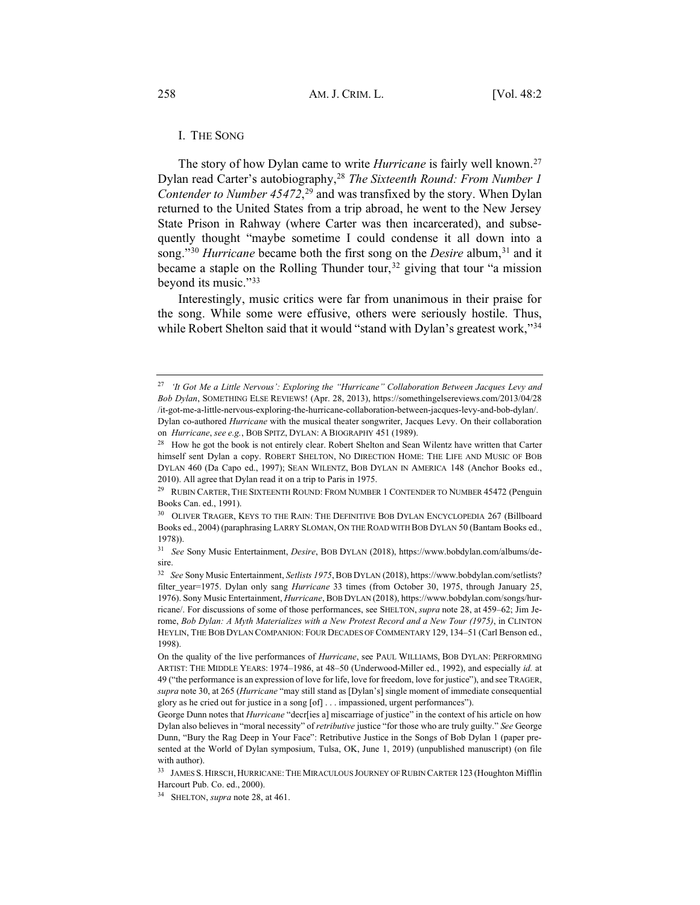### I. THE SONG

The story of how Dylan came to write *Hurricane* is fairly well known.<sup>27</sup> Dylan read Carter's autobiography,28 *The Sixteenth Round: From Number 1 Contender to Number 45472*, <sup>29</sup> and was transfixed by the story. When Dylan returned to the United States from a trip abroad, he went to the New Jersey State Prison in Rahway (where Carter was then incarcerated), and subsequently thought "maybe sometime I could condense it all down into a song."<sup>30</sup> *Hurricane* became both the first song on the *Desire* album,<sup>31</sup> and it became a staple on the Rolling Thunder tour,  $32$  giving that tour "a mission beyond its music."33

Interestingly, music critics were far from unanimous in their praise for the song. While some were effusive, others were seriously hostile. Thus, while Robert Shelton said that it would "stand with Dylan's greatest work,"<sup>34</sup>

<sup>27</sup> *'It Got Me a Little Nervous': Exploring the "Hurricane" Collaboration Between Jacques Levy and Bob Dylan*, SOMETHING ELSE REVIEWS! (Apr. 28, 2013), https://somethingelsereviews.com/2013/04/28 /it-got-me-a-little-nervous-exploring-the-hurricane-collaboration-between-jacques-levy-and-bob-dylan/. Dylan co-authored *Hurricane* with the musical theater songwriter, Jacques Levy. On their collaboration on *Hurricane*, *see e.g.*, BOB SPITZ, DYLAN:ABIOGRAPHY 451 (1989).

<sup>&</sup>lt;sup>28</sup> How he got the book is not entirely clear. Robert Shelton and Sean Wilentz have written that Carter himself sent Dylan a copy. ROBERT SHELTON, NO DIRECTION HOME: THE LIFE AND MUSIC OF BOB DYLAN 460 (Da Capo ed., 1997); SEAN WILENTZ, BOB DYLAN IN AMERICA 148 (Anchor Books ed., 2010). All agree that Dylan read it on a trip to Paris in 1975.

<sup>&</sup>lt;sup>29</sup> RUBIN CARTER, THE SIXTEENTH ROUND: FROM NUMBER 1 CONTENDER TO NUMBER 45472 (Penguin Books Can. ed., 1991).

<sup>&</sup>lt;sup>30</sup> OLIVER TRAGER, KEYS TO THE RAIN: THE DEFINITIVE BOB DYLAN ENCYCLOPEDIA 267 (Billboard Books ed., 2004) (paraphrasing LARRY SLOMAN, ON THE ROAD WITH BOB DYLAN 50 (Bantam Books ed., 1978)).

<sup>31</sup> *See* Sony Music Entertainment, *Desire*, BOB DYLAN (2018), https://www.bobdylan.com/albums/desire.

<sup>32</sup> *See* Sony Music Entertainment, *Setlists 1975*, BOB DYLAN (2018), https://www.bobdylan.com/setlists? filter\_year=1975. Dylan only sang *Hurricane* 33 times (from October 30, 1975, through January 25, 1976). Sony Music Entertainment, *Hurricane*, BOB DYLAN (2018), https://www.bobdylan.com/songs/hurricane/. For discussions of some of those performances, see SHELTON, *supra* note 28, at 459–62; Jim Jerome, *Bob Dylan: A Myth Materializes with a New Protest Record and a New Tour (1975)*, in CLINTON HEYLIN, THE BOB DYLAN COMPANION: FOUR DECADES OF COMMENTARY 129, 134–51 (Carl Benson ed., 1998).

On the quality of the live performances of *Hurricane*, see PAUL WILLIAMS, BOB DYLAN: PERFORMING ARTIST: THE MIDDLE YEARS: 1974–1986, at 48–50 (Underwood-Miller ed., 1992), and especially *id.* at 49 ("the performance is an expression of love for life, love for freedom, love for justice"), and see TRAGER, *supra* note 30, at 265 (*Hurricane* "may still stand as [Dylan's] single moment of immediate consequential glory as he cried out for justice in a song [of] . . . impassioned, urgent performances").

George Dunn notes that *Hurricane* "decr[ies a] miscarriage of justice" in the context of his article on how Dylan also believes in "moral necessity" of *retributive* justice "for those who are truly guilty." *See* George Dunn, "Bury the Rag Deep in Your Face": Retributive Justice in the Songs of Bob Dylan 1 (paper presented at the World of Dylan symposium, Tulsa, OK, June 1, 2019) (unpublished manuscript) (on file with author).

<sup>33</sup> JAMES S. HIRSCH, HURRICANE: THE MIRACULOUS JOURNEY OF RUBIN CARTER 123 (Houghton Mifflin Harcourt Pub. Co. ed., 2000).

<sup>34</sup> SHELTON, *supra* note 28, at 461.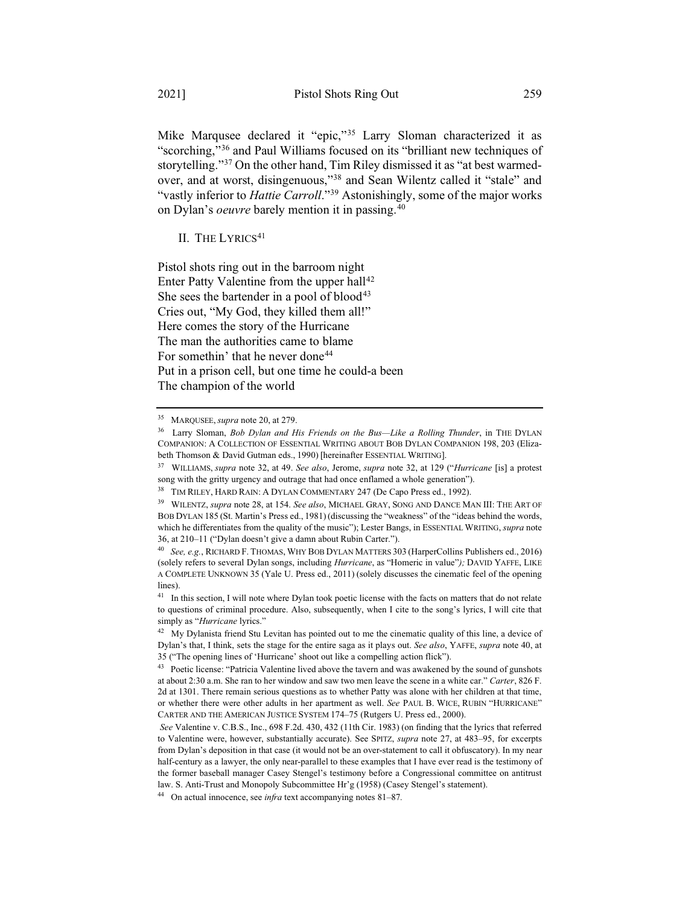Mike Marqusee declared it "epic,"35 Larry Sloman characterized it as "scorching,"36 and Paul Williams focused on its "brilliant new techniques of storytelling."37 On the other hand, Tim Riley dismissed it as "at best warmedover, and at worst, disingenuous,"38 and Sean Wilentz called it "stale" and "vastly inferior to *Hattie Carroll*."<sup>39</sup> Astonishingly, some of the major works on Dylan's *oeuvre* barely mention it in passing.40

II. THE LYRICS<sup>41</sup>

Pistol shots ring out in the barroom night Enter Patty Valentine from the upper hall<sup>42</sup> She sees the bartender in a pool of  $b$ lood<sup>43</sup> Cries out, "My God, they killed them all!" Here comes the story of the Hurricane The man the authorities came to blame For somethin' that he never done<sup>44</sup> Put in a prison cell, but one time he could-a been The champion of the world

<sup>35</sup> MARQUSEE, *supra* note 20, at 279.

<sup>36</sup> Larry Sloman, *Bob Dylan and His Friends on the Bus—Like a Rolling Thunder*, in THE DYLAN COMPANION:ACOLLECTION OF ESSENTIAL WRITING ABOUT BOB DYLAN COMPANION 198, 203 (Elizabeth Thomson & David Gutman eds., 1990) [hereinafter ESSENTIAL WRITING].

<sup>37</sup> WILLIAMS, *supra* note 32, at 49. *See also*, Jerome, *supra* note 32, at 129 ("*Hurricane* [is] a protest song with the gritty urgency and outrage that had once enflamed a whole generation").

<sup>&</sup>lt;sup>38</sup> TIM RILEY, HARD RAIN: A DYLAN COMMENTARY 247 (De Capo Press ed., 1992).

<sup>39</sup> WILENTZ, *supra* note 28, at 154. *See also*, MICHAEL GRAY, SONG AND DANCE MAN III: THE ART OF BOB DYLAN 185 (St. Martin's Press ed., 1981) (discussing the "weakness" of the "ideas behind the words, which he differentiates from the quality of the music"); Lester Bangs, in ESSENTIAL WRITING, *supra* note 36, at 210–11 ("Dylan doesn't give a damn about Rubin Carter.").

<sup>40</sup> *See, e.g.*, RICHARD F. THOMAS, WHY BOB DYLAN MATTERS 303 (HarperCollins Publishers ed., 2016) (solely refers to several Dylan songs, including *Hurricane*, as "Homeric in value"*);* DAVID YAFFE, LIKE A COMPLETE UNKNOWN 35 (Yale U. Press ed., 2011) (solely discusses the cinematic feel of the opening lines).

<sup>&</sup>lt;sup>41</sup> In this section, I will note where Dylan took poetic license with the facts on matters that do not relate to questions of criminal procedure. Also, subsequently, when I cite to the song's lyrics, I will cite that simply as "*Hurricane* lyrics."

<sup>&</sup>lt;sup>42</sup> My Dylanista friend Stu Levitan has pointed out to me the cinematic quality of this line, a device of Dylan's that, I think, sets the stage for the entire saga as it plays out. *See also*, YAFFE, *supra* note 40, at 35 ("The opening lines of 'Hurricane' shoot out like a compelling action flick").

<sup>&</sup>lt;sup>43</sup> Poetic license: "Patricia Valentine lived above the tavern and was awakened by the sound of gunshots at about 2:30 a.m. She ran to her window and saw two men leave the scene in a white car." *Carter*, 826 F. 2d at 1301. There remain serious questions as to whether Patty was alone with her children at that time, or whether there were other adults in her apartment as well. *See* PAUL B. WICE, RUBIN "HURRICANE" CARTER AND THE AMERICAN JUSTICE SYSTEM 174–75 (Rutgers U. Press ed., 2000).

*See* Valentine v. C.B.S., Inc., 698 F.2d. 430, 432 (11th Cir. 1983) (on finding that the lyrics that referred to Valentine were, however, substantially accurate). See SPITZ, *supra* note 27, at 483–95, for excerpts from Dylan's deposition in that case (it would not be an over-statement to call it obfuscatory). In my near half-century as a lawyer, the only near-parallel to these examples that I have ever read is the testimony of the former baseball manager Casey Stengel's testimony before a Congressional committee on antitrust law. S. Anti-Trust and Monopoly Subcommittee Hr'g (1958) (Casey Stengel's statement).

<sup>44</sup> On actual innocence, see *infra* text accompanying notes 81–87*.*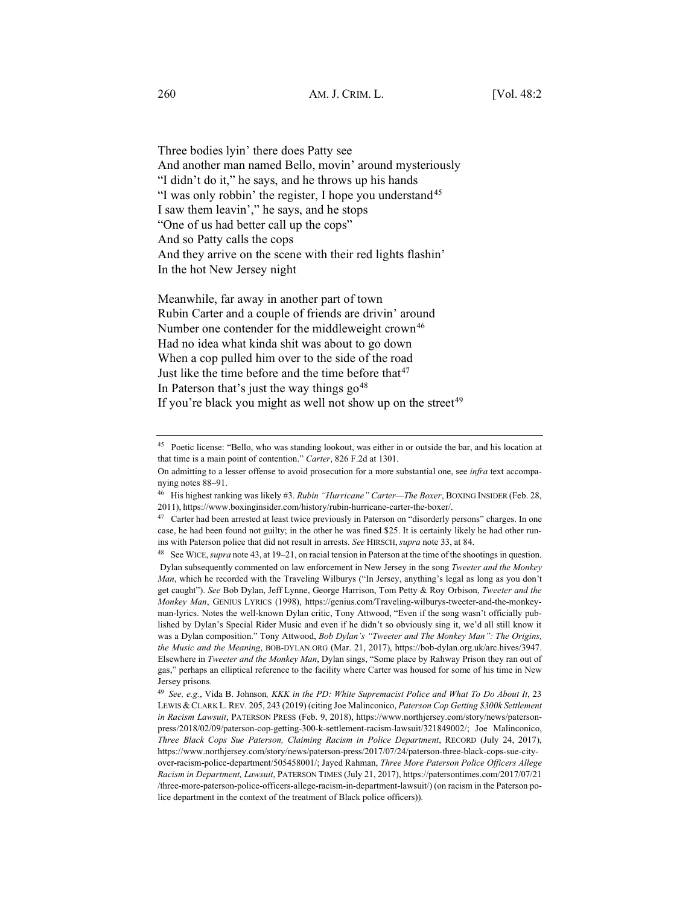Three bodies lyin' there does Patty see And another man named Bello, movin' around mysteriously "I didn't do it," he says, and he throws up his hands "I was only robbin' the register, I hope you understand<sup>45</sup> I saw them leavin'," he says, and he stops "One of us had better call up the cops" And so Patty calls the cops And they arrive on the scene with their red lights flashin' In the hot New Jersey night

Meanwhile, far away in another part of town Rubin Carter and a couple of friends are drivin' around Number one contender for the middleweight crown<sup>46</sup> Had no idea what kinda shit was about to go down When a cop pulled him over to the side of the road Just like the time before and the time before that  $47$ In Paterson that's just the way things  $g_0^{48}$ If you're black you might as well not show up on the street<sup>49</sup>

<sup>&</sup>lt;sup>45</sup> Poetic license: "Bello, who was standing lookout, was either in or outside the bar, and his location at that time is a main point of contention." *Carter*, 826 F.2d at 1301.

On admitting to a lesser offense to avoid prosecution for a more substantial one, see *infra* text accompanying notes 88–91.

<sup>46</sup> His highest ranking was likely #3. *Rubin "Hurricane" Carter—The Boxer*, BOXING INSIDER (Feb. 28, 2011), https://www.boxinginsider.com/history/rubin-hurricane-carter-the-boxer/.

<sup>&</sup>lt;sup>47</sup> Carter had been arrested at least twice previously in Paterson on "disorderly persons" charges. In one case, he had been found not guilty; in the other he was fined \$25. It is certainly likely he had other runins with Paterson police that did not result in arrests. *See* HIRSCH, *supra* note 33, at 84.

<sup>48</sup> See WICE,*supra* note 43, at 19–21, on racial tension in Paterson at the time of the shootings in question. Dylan subsequently commented on law enforcement in New Jersey in the song *Tweeter and the Monkey Man*, which he recorded with the Traveling Wilburys ("In Jersey, anything's legal as long as you don't get caught"). *See* Bob Dylan, Jeff Lynne, George Harrison, Tom Petty & Roy Orbison, *Tweeter and the Monkey Man*, GENIUS LYRICS (1998), https://genius.com/Traveling-wilburys-tweeter-and-the-monkeyman-lyrics. Notes the well-known Dylan critic, Tony Attwood, "Even if the song wasn't officially published by Dylan's Special Rider Music and even if he didn't so obviously sing it, we'd all still know it was a Dylan composition." Tony Attwood, *Bob Dylan's "Tweeter and The Monkey Man": The Origins, the Music and the Meaning*, BOB-DYLAN.ORG (Mar. 21, 2017), https://bob-dylan.org.uk/arc.hives/3947. Elsewhere in *Tweeter and the Monkey Man*, Dylan sings, "Some place by Rahway Prison they ran out of gas," perhaps an elliptical reference to the facility where Carter was housed for some of his time in New Jersey prisons.

<sup>49</sup> *See, e.g.*, Vida B. Johnson*, KKK in the PD: White Supremacist Police and What To Do About It*, 23 LEWIS & CLARK L. REV. 205, 243 (2019) (citing Joe Malinconico, *Paterson Cop Getting \$300k Settlement in Racism Lawsuit*, PATERSON PRESS (Feb. 9, 2018), https://www.northjersey.com/story/news/patersonpress/2018/02/09/paterson-cop-getting-300-k-settlement-racism-lawsuit/321849002/; Joe Malinconico, *Three Black Cops Sue Paterson, Claiming Racism in Police Department*, RECORD (July 24, 2017), https://www.northjersey.com/story/news/paterson-press/2017/07/24/paterson-three-black-cops-sue-cityover-racism-police-department/505458001/; Jayed Rahman, *Three More Paterson Police Officers Allege Racism in Department, Lawsuit*, PATERSON TIMES (July 21, 2017), https://patersontimes.com/2017/07/21 /three-more-paterson-police-officers-allege-racism-in-department-lawsuit/) (on racism in the Paterson police department in the context of the treatment of Black police officers)).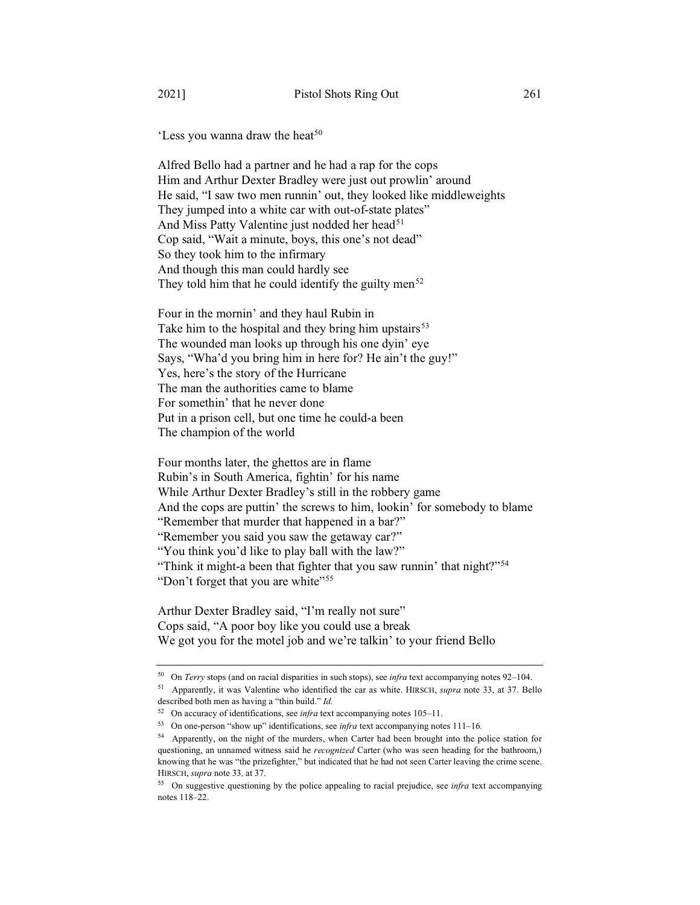'Less you wanna draw the heat $50$ 

Alfred Bello had a partner and he had a rap for the cops Him and Arthur Dexter Bradley were just out prowlin' around He said, "I saw two men runnin' out, they looked like middleweights They jumped into a white car with out-of-state plates" And Miss Patty Valentine just nodded her head<sup>51</sup> Cop said, "Wait a minute, boys, this one's not dead" So they took him to the infirmary And though this man could hardly see They told him that he could identify the guilty men<sup>52</sup>

Four in the mornin' and they haul Rubin in Take him to the hospital and they bring him upstairs $53$ The wounded man looks up through his one dyin' eye Says, "Wha'd you bring him in here for? He ain't the guy!" Yes, here's the story of the Hurricane The man the authorities came to blame For somethin' that he never done Put in a prison cell, but one time he could-a been The champion of the world

Four months later, the ghettos are in flame Rubin's in South America, fightin' for his name While Arthur Dexter Bradley's still in the robbery game And the cops are puttin' the screws to him, lookin' for somebody to blame "Remember that murder that happened in a bar?" "Remember you said you saw the getaway car?" "You think you'd like to play ball with the law?" "Think it might-a been that fighter that you saw runnin' that night?"54 "Don't forget that you are white"<sup>55</sup>

Arthur Dexter Bradley said, "I'm really not sure" Cops said, "A poor boy like you could use a break We got you for the motel job and we're talkin' to your friend Bello

<sup>50</sup> On *Terry* stops (and on racial disparities in such stops), see *infra* text accompanying notes 92–104.

<sup>51</sup> Apparently, it was Valentine who identified the car as white. HIRSCH, *supra* note 33, at 37. Bello described both men as having a "thin build." *Id.* 

<sup>52</sup> On accuracy of identifications, see *infra* text accompanying notes 105–11.

<sup>53</sup> On one-person "show up" identifications, see *infra* text accompanying notes 111–16*.*

<sup>&</sup>lt;sup>54</sup> Apparently, on the night of the murders, when Carter had been brought into the police station for questioning, an unnamed witness said he *recognized* Carter (who was seen heading for the bathroom,) knowing that he was "the prizefighter," but indicated that he had not seen Carter leaving the crime scene. HIRSCH, *supra* note 33*,* at 37.

<sup>55</sup> On suggestive questioning by the police appealing to racial prejudice, see *infra* text accompanying notes 118–22.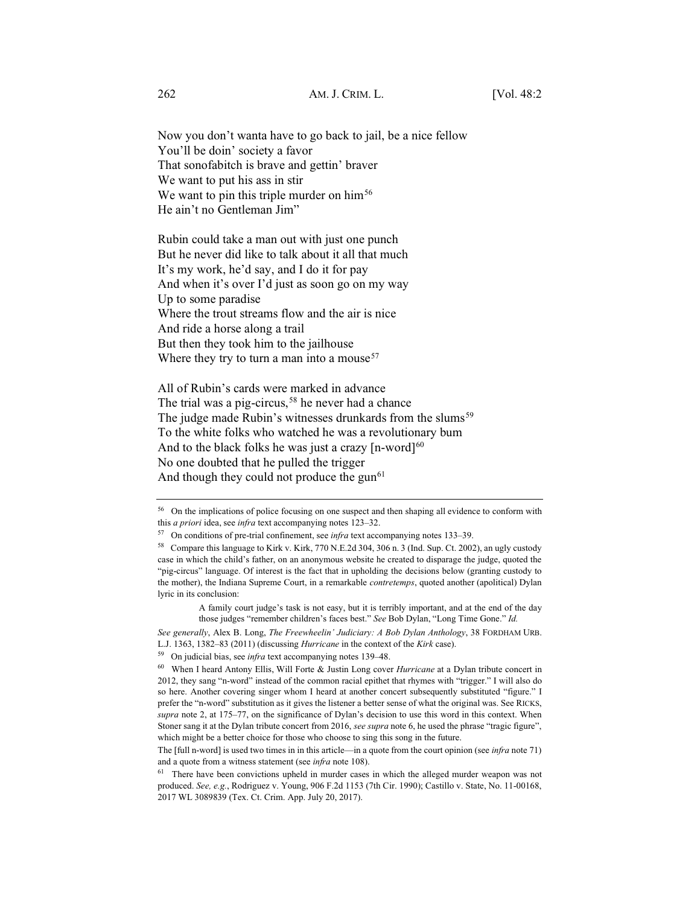Now you don't wanta have to go back to jail, be a nice fellow You'll be doin' society a favor That sonofabitch is brave and gettin' braver We want to put his ass in stir We want to pin this triple murder on him<sup>56</sup> He ain't no Gentleman Jim"

Rubin could take a man out with just one punch But he never did like to talk about it all that much It's my work, he'd say, and I do it for pay And when it's over I'd just as soon go on my way Up to some paradise Where the trout streams flow and the air is nice And ride a horse along a trail But then they took him to the jailhouse Where they try to turn a man into a mouse<sup>57</sup>

All of Rubin's cards were marked in advance The trial was a pig-circus,  $58$  he never had a chance The judge made Rubin's witnesses drunkards from the slums<sup>59</sup> To the white folks who watched he was a revolutionary bum And to the black folks he was just a crazy  $[n$ -word $]^{60}$ No one doubted that he pulled the trigger And though they could not produce the gun<sup>61</sup>

A family court judge's task is not easy, but it is terribly important, and at the end of the day those judges "remember children's faces best." *See* Bob Dylan, "Long Time Gone." *Id.*

<sup>&</sup>lt;sup>56</sup> On the implications of police focusing on one suspect and then shaping all evidence to conform with this *a priori* idea, see *infra* text accompanying notes 123–32.

<sup>57</sup> On conditions of pre-trial confinement, see *infra* text accompanying notes 133–39.

<sup>58</sup> Compare this language to Kirk v. Kirk, 770 N.E.2d 304, 306 n. 3 (Ind. Sup. Ct. 2002), an ugly custody case in which the child's father, on an anonymous website he created to disparage the judge, quoted the "pig-circus" language. Of interest is the fact that in upholding the decisions below (granting custody to the mother), the Indiana Supreme Court, in a remarkable *contretemps*, quoted another (apolitical) Dylan lyric in its conclusion:

*See generally*, Alex B. Long, *The Freewheelin' Judiciary: A Bob Dylan Anthology*, 38 FORDHAM URB. L.J. 1363, 1382–83 (2011) (discussing *Hurricane* in the context of the *Kirk* case).

<sup>59</sup> On judicial bias, see *infra* text accompanying notes 139–48.

<sup>60</sup> When I heard Antony Ellis, Will Forte & Justin Long cover *Hurricane* at a Dylan tribute concert in 2012, they sang "n-word" instead of the common racial epithet that rhymes with "trigger." I will also do so here. Another covering singer whom I heard at another concert subsequently substituted "figure." I prefer the "n-word" substitution as it gives the listener a better sense of what the original was. See RICKS, *supra* note 2, at 175–77, on the significance of Dylan's decision to use this word in this context. When Stoner sang it at the Dylan tribute concert from 2016, *see supra* note 6, he used the phrase "tragic figure", which might be a better choice for those who choose to sing this song in the future.

The [full n-word] is used two times in in this article—in a quote from the court opinion (see *infra* note 71) and a quote from a witness statement (see *infra* note 108).

<sup>&</sup>lt;sup>61</sup> There have been convictions upheld in murder cases in which the alleged murder weapon was not produced. *See, e.g.*, Rodriguez v. Young, 906 F.2d 1153 (7th Cir. 1990); Castillo v. State, No. 11-00168, 2017 WL 3089839 (Tex. Ct. Crim. App. July 20, 2017).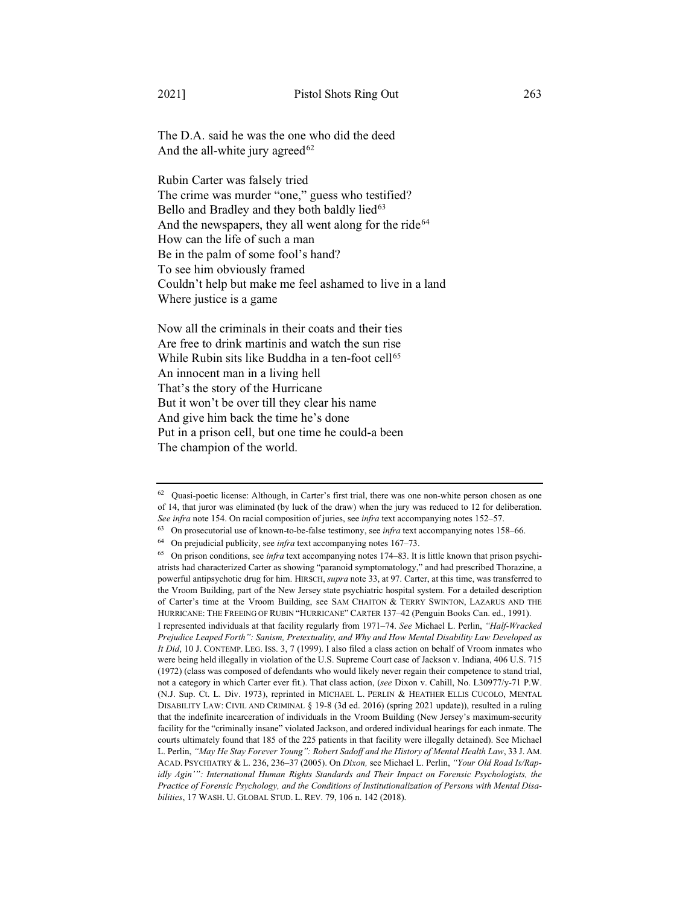The D.A. said he was the one who did the deed And the all-white jury agreed $62$ 

Rubin Carter was falsely tried The crime was murder "one," guess who testified? Bello and Bradley and they both baldly lied<sup>63</sup> And the newspapers, they all went along for the ride<sup>64</sup> How can the life of such a man Be in the palm of some fool's hand? To see him obviously framed Couldn't help but make me feel ashamed to live in a land Where justice is a game

Now all the criminals in their coats and their ties Are free to drink martinis and watch the sun rise While Rubin sits like Buddha in a ten-foot cell<sup>65</sup> An innocent man in a living hell That's the story of the Hurricane But it won't be over till they clear his name And give him back the time he's done Put in a prison cell, but one time he could-a been The champion of the world.

 $62$  Quasi-poetic license: Although, in Carter's first trial, there was one non-white person chosen as one of 14, that juror was eliminated (by luck of the draw) when the jury was reduced to 12 for deliberation. *See infra* note 154. On racial composition of juries, see *infra* text accompanying notes 152–57.

<sup>63</sup> On prosecutorial use of known-to-be-false testimony, see *infra* text accompanying notes 158–66.

<sup>64</sup> On prejudicial publicity, see *infra* text accompanying notes 167–73.

<sup>65</sup> On prison conditions, see *infra* text accompanying notes 174–83. It is little known that prison psychiatrists had characterized Carter as showing "paranoid symptomatology," and had prescribed Thorazine, a powerful antipsychotic drug for him. HIRSCH, *supra* note 33, at 97. Carter, at this time, was transferred to the Vroom Building, part of the New Jersey state psychiatric hospital system. For a detailed description of Carter's time at the Vroom Building, see SAM CHAITON & TERRY SWINTON, LAZARUS AND THE HURRICANE: THE FREEING OF RUBIN "HURRICANE" CARTER 137–42 (Penguin Books Can. ed., 1991).

I represented individuals at that facility regularly from 1971–74. *See* Michael L. Perlin, *"Half-Wracked Prejudice Leaped Forth": Sanism, Pretextuality, and Why and How Mental Disability Law Developed as It Did*, 10 J. CONTEMP. LEG. ISS. 3, 7 (1999). I also filed a class action on behalf of Vroom inmates who were being held illegally in violation of the U.S. Supreme Court case of Jackson v. Indiana, 406 U.S. 715 (1972) (class was composed of defendants who would likely never regain their competence to stand trial, not a category in which Carter ever fit.). That class action, (*see* Dixon v. Cahill, No. L30977/y-71 P.W. (N.J. Sup. Ct. L. Div. 1973), reprinted in MICHAEL L. PERLIN & HEATHER ELLIS CUCOLO, MENTAL DISABILITY LAW: CIVIL AND CRIMINAL § 19-8 (3d ed. 2016) (spring 2021 update)), resulted in a ruling that the indefinite incarceration of individuals in the Vroom Building (New Jersey's maximum-security facility for the "criminally insane" violated Jackson, and ordered individual hearings for each inmate. The courts ultimately found that 185 of the 225 patients in that facility were illegally detained). See Michael L. Perlin, *"May He Stay Forever Young": Robert Sadoff and the History of Mental Health Law*, 33 J. AM. ACAD. PSYCHIATRY & L. 236, 236–37 (2005). On *Dixon,* see Michael L. Perlin, *"Your Old Road Is/Rapidly Agin'": International Human Rights Standards and Their Impact on Forensic Psychologists, the Practice of Forensic Psychology, and the Conditions of Institutionalization of Persons with Mental Disabilities*, 17 WASH. U. GLOBAL STUD. L. REV. 79, 106 n. 142 (2018).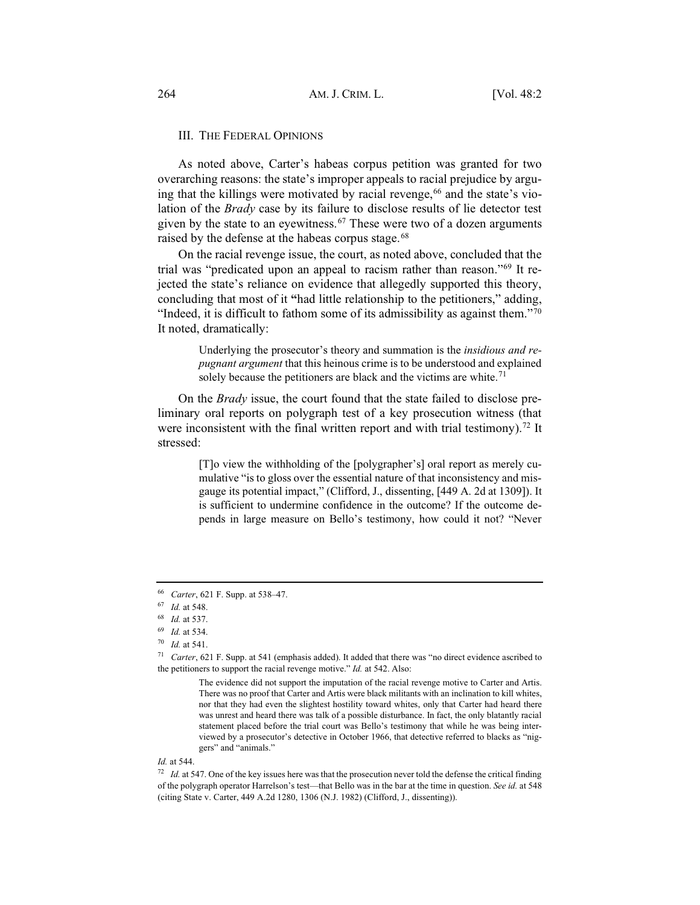### III. THE FEDERAL OPINIONS

As noted above, Carter's habeas corpus petition was granted for two overarching reasons: the state's improper appeals to racial prejudice by arguing that the killings were motivated by racial revenge,  $66$  and the state's violation of the *Brady* case by its failure to disclose results of lie detector test given by the state to an eyewitness.67 These were two of a dozen arguments raised by the defense at the habeas corpus stage.<sup>68</sup>

On the racial revenge issue, the court, as noted above, concluded that the trial was "predicated upon an appeal to racism rather than reason."69 It rejected the state's reliance on evidence that allegedly supported this theory, concluding that most of it **"**had little relationship to the petitioners," adding, "Indeed, it is difficult to fathom some of its admissibility as against them."<sup>70</sup> It noted, dramatically:

> Underlying the prosecutor's theory and summation is the *insidious and repugnant argument* that this heinous crime is to be understood and explained solely because the petitioners are black and the victims are white. $71$

On the *Brady* issue, the court found that the state failed to disclose preliminary oral reports on polygraph test of a key prosecution witness (that were inconsistent with the final written report and with trial testimony).<sup>72</sup> It stressed:

> [T]o view the withholding of the [polygrapher's] oral report as merely cumulative "is to gloss over the essential nature of that inconsistency and misgauge its potential impact," (Clifford, J., dissenting, [449 A. 2d at 1309]). It is sufficient to undermine confidence in the outcome? If the outcome depends in large measure on Bello's testimony, how could it not? "Never

*Id.* at 544.

<sup>66</sup> *Carter*, 621 F. Supp. at 538–47.

<sup>67</sup> *Id.* at 548.

<sup>68</sup> *Id.* at 537.

<sup>69</sup> *Id.* at 534.

<sup>70</sup> *Id.* at 541.

<sup>71</sup> *Carter*, 621 F. Supp. at 541 (emphasis added). It added that there was "no direct evidence ascribed to the petitioners to support the racial revenge motive." *Id.* at 542. Also:

The evidence did not support the imputation of the racial revenge motive to Carter and Artis. There was no proof that Carter and Artis were black militants with an inclination to kill whites, nor that they had even the slightest hostility toward whites, only that Carter had heard there was unrest and heard there was talk of a possible disturbance. In fact, the only blatantly racial statement placed before the trial court was Bello's testimony that while he was being interviewed by a prosecutor's detective in October 1966, that detective referred to blacks as "niggers" and "animals."

<sup>72</sup> *Id.* at 547. One of the key issues here was that the prosecution never told the defense the critical finding of the polygraph operator Harrelson's test—that Bello was in the bar at the time in question. *See id.* at 548 (citing State v. Carter, 449 A.2d 1280, 1306 (N.J. 1982) (Clifford, J., dissenting)).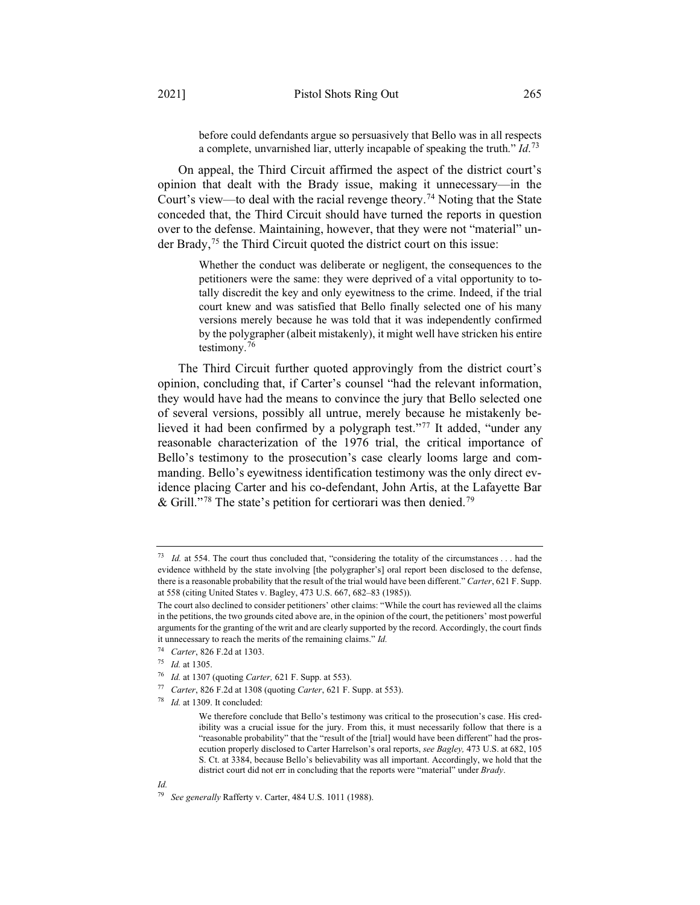before could defendants argue so persuasively that Bello was in all respects a complete, unvarnished liar, utterly incapable of speaking the truth." *Id*. 73

On appeal, the Third Circuit affirmed the aspect of the district court's opinion that dealt with the Brady issue, making it unnecessary—in the Court's view—to deal with the racial revenge theory.74 Noting that the State conceded that, the Third Circuit should have turned the reports in question over to the defense. Maintaining, however, that they were not "material" under Brady,75 the Third Circuit quoted the district court on this issue:

> Whether the conduct was deliberate or negligent, the consequences to the petitioners were the same: they were deprived of a vital opportunity to totally discredit the key and only eyewitness to the crime. Indeed, if the trial court knew and was satisfied that Bello finally selected one of his many versions merely because he was told that it was independently confirmed by the polygrapher (albeit mistakenly), it might well have stricken his entire testimony.<sup>76</sup>

The Third Circuit further quoted approvingly from the district court's opinion, concluding that, if Carter's counsel "had the relevant information, they would have had the means to convince the jury that Bello selected one of several versions, possibly all untrue, merely because he mistakenly believed it had been confirmed by a polygraph test."77 It added, "under any reasonable characterization of the 1976 trial, the critical importance of Bello's testimony to the prosecution's case clearly looms large and commanding. Bello's eyewitness identification testimony was the only direct evidence placing Carter and his co-defendant, John Artis, at the Lafayette Bar & Grill."<sup>78</sup> The state's petition for certiorari was then denied.<sup>79</sup>

<sup>73</sup> *Id.* at 554. The court thus concluded that, "considering the totality of the circumstances . . . had the evidence withheld by the state involving [the polygrapher's] oral report been disclosed to the defense, there is a reasonable probability that the result of the trial would have been different." *Carter*, 621 F. Supp. at 558 (citing United States v. Bagley, 473 U.S. 667, 682–83 (1985)).

The court also declined to consider petitioners' other claims: "While the court has reviewed all the claims in the petitions, the two grounds cited above are, in the opinion of the court, the petitioners' most powerful arguments for the granting of the writ and are clearly supported by the record. Accordingly, the court finds it unnecessary to reach the merits of the remaining claims." *Id.*

<sup>74</sup> *Carter*, 826 F.2d at 1303.

<sup>75</sup> *Id.* at 1305.

<sup>76</sup> *Id.* at 1307 (quoting *Carter,* 621 F. Supp. at 553).

<sup>77</sup> *Carter*, 826 F.2d at 1308 (quoting *Carter*, 621 F. Supp. at 553).

<sup>78</sup> *Id.* at 1309. It concluded:

We therefore conclude that Bello's testimony was critical to the prosecution's case. His credibility was a crucial issue for the jury. From this, it must necessarily follow that there is a "reasonable probability" that the "result of the [trial] would have been different" had the prosecution properly disclosed to Carter Harrelson's oral reports, *see Bagley,* 473 U.S. at 682, 105 S. Ct. at 3384, because Bello's believability was all important. Accordingly, we hold that the district court did not err in concluding that the reports were "material" under *Brady*.

<sup>79</sup> *See generally* Rafferty v. Carter, 484 U.S. 1011 (1988).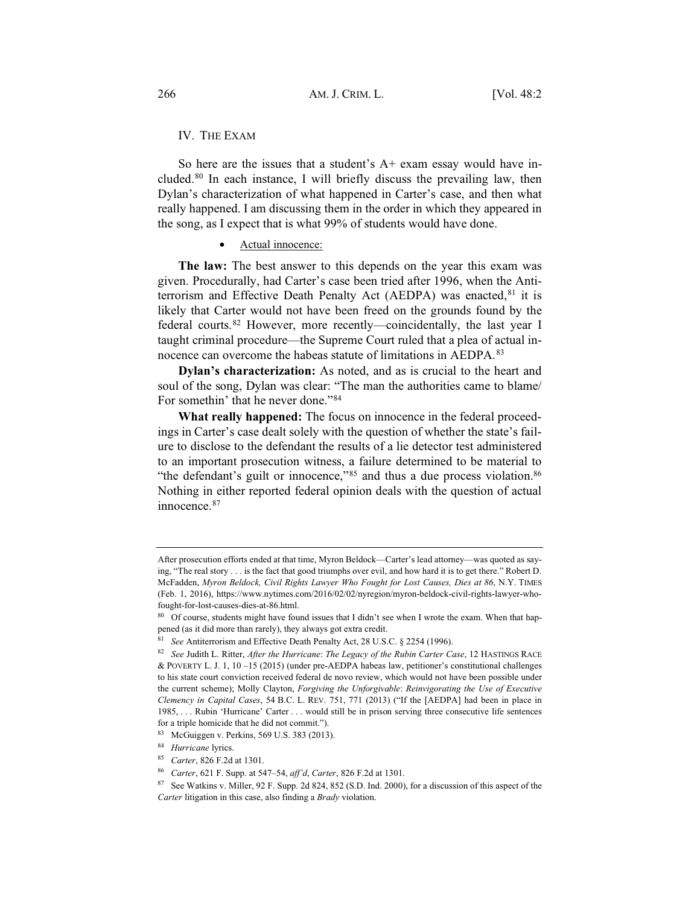#### IV. THE EXAM

So here are the issues that a student's A+ exam essay would have included.80 In each instance, I will briefly discuss the prevailing law, then Dylan's characterization of what happened in Carter's case, and then what really happened. I am discussing them in the order in which they appeared in the song, as I expect that is what 99% of students would have done.

# Actual innocence:

**The law:** The best answer to this depends on the year this exam was given. Procedurally, had Carter's case been tried after 1996, when the Antiterrorism and Effective Death Penalty Act (AEDPA) was enacted, <sup>81</sup> it is likely that Carter would not have been freed on the grounds found by the federal courts.82 However, more recently—coincidentally, the last year I taught criminal procedure—the Supreme Court ruled that a plea of actual innocence can overcome the habeas statute of limitations in AEDPA.<sup>83</sup>

**Dylan's characterization:** As noted, and as is crucial to the heart and soul of the song, Dylan was clear: "The man the authorities came to blame/ For somethin' that he never done."<sup>84</sup>

**What really happened:** The focus on innocence in the federal proceedings in Carter's case dealt solely with the question of whether the state's failure to disclose to the defendant the results of a lie detector test administered to an important prosecution witness, a failure determined to be material to "the defendant's guilt or innocence,"<sup>85</sup> and thus a due process violation.<sup>86</sup> Nothing in either reported federal opinion deals with the question of actual innocence.87

After prosecution efforts ended at that time, Myron Beldock—Carter's lead attorney—was quoted as saying, "The real story . . . is the fact that good triumphs over evil, and how hard it is to get there." Robert D. McFadden, *Myron Beldock, Civil Rights Lawyer Who Fought for Lost Causes, Dies at 86*, N.Y. TIMES (Feb. 1, 2016), https://www.nytimes.com/2016/02/02/nyregion/myron-beldock-civil-rights-lawyer-whofought-for-lost-causes-dies-at-86.html.

<sup>&</sup>lt;sup>80</sup> Of course, students might have found issues that I didn't see when I wrote the exam. When that happened (as it did more than rarely), they always got extra credit.

<sup>81</sup> *See* Antiterrorism and Effective Death Penalty Act, 28 U.S.C. § 2254 (1996).

<sup>82</sup> *See* Judith L. Ritter, *After the Hurricane*: *The Legacy of the Rubin Carter Case*, 12 HASTINGS RACE & POVERTY L. J. 1, 10 –15 (2015) (under pre-AEDPA habeas law, petitioner's constitutional challenges to his state court conviction received federal de novo review, which would not have been possible under the current scheme); Molly Clayton, *Forgiving the Unforgivable*: *Reinvigorating the Use of Executive Clemency in Capital Cases*, 54 B.C. L. REV. 751, 771 (2013) ("If the [AEDPA] had been in place in 1985, . . . Rubin 'Hurricane' Carter . . . would still be in prison serving three consecutive life sentences for a triple homicide that he did not commit.").

<sup>83</sup> McGuiggen v. Perkins, 569 U.S. 383 (2013).

<sup>84</sup> *Hurricane* lyrics.

<sup>85</sup> *Carter*, 826 F.2d at 1301.

<sup>86</sup> *Carter*, 621 F. Supp. at 547–54, *aff'd*, *Carter*, 826 F.2d at 1301.

<sup>&</sup>lt;sup>87</sup> See Watkins v. Miller, 92 F. Supp. 2d 824, 852 (S.D. Ind. 2000), for a discussion of this aspect of the *Carter* litigation in this case, also finding a *Brady* violation.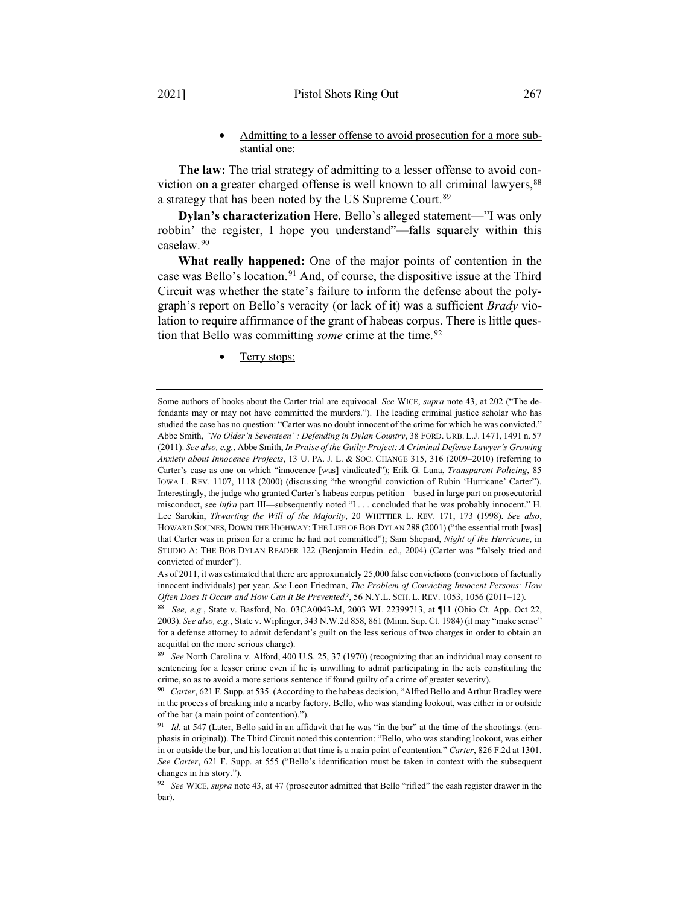# • Admitting to a lesser offense to avoid prosecution for a more substantial one:

**The law:** The trial strategy of admitting to a lesser offense to avoid conviction on a greater charged offense is well known to all criminal lawyers,  $88$ a strategy that has been noted by the US Supreme Court.89

**Dylan's characterization** Here, Bello's alleged statement—"I was only robbin' the register, I hope you understand"—falls squarely within this caselaw.90

**What really happened:** One of the major points of contention in the case was Bello's location.<sup>91</sup> And, of course, the dispositive issue at the Third Circuit was whether the state's failure to inform the defense about the polygraph's report on Bello's veracity (or lack of it) was a sufficient *Brady* violation to require affirmance of the grant of habeas corpus. There is little question that Bello was committing *some* crime at the time.<sup>92</sup>

Terry stops:

Some authors of books about the Carter trial are equivocal. *See* WICE, *supra* note 43, at 202 ("The defendants may or may not have committed the murders."). The leading criminal justice scholar who has studied the case has no question: "Carter was no doubt innocent of the crime for which he was convicted." Abbe Smith, *"No Older'n Seventeen": Defending in Dylan Country*, 38 FORD. URB. L.J. 1471, 1491 n. 57 (2011). *See also, e.g.*, Abbe Smith, *In Praise of the Guilty Project: A Criminal Defense Lawyer's Growing Anxiety about Innocence Projects*, 13 U. PA. J. L. & SOC. CHANGE 315, 316 (2009–2010) (referring to Carter's case as one on which "innocence [was] vindicated"); Erik G. Luna, *Transparent Policing*, 85 IOWA L. REV. 1107, 1118 (2000) (discussing "the wrongful conviction of Rubin 'Hurricane' Carter"). Interestingly, the judge who granted Carter's habeas corpus petition—based in large part on prosecutorial misconduct, see *infra* part III—subsequently noted "I . . . concluded that he was probably innocent." H. Lee Sarokin, *Thwarting the Will of the Majority*, 20 WHITTIER L. REV. 171, 173 (1998). *See also*, HOWARD SOUNES, DOWN THE HIGHWAY: THE LIFE OF BOB DYLAN 288 (2001) ("the essential truth [was] that Carter was in prison for a crime he had not committed"); Sam Shepard, *Night of the Hurricane*, in STUDIO A: THE BOB DYLAN READER 122 (Benjamin Hedin. ed., 2004) (Carter was "falsely tried and convicted of murder").

As of 2011, it was estimated that there are approximately 25,000 false convictions (convictions of factually innocent individuals) per year. *See* Leon Friedman, *The Problem of Convicting Innocent Persons: How Often Does It Occur and How Can It Be Prevented?*, 56 N.Y.L. SCH. L. REV. 1053, 1056 (2011–12).

<sup>88</sup> *See, e.g.*, State v. Basford, No. 03CA0043-M, 2003 WL 22399713, at ¶11 (Ohio Ct. App. Oct 22, 2003). *See also, e.g.*, State v. Wiplinger, 343 N.W.2d 858, 861 (Minn. Sup. Ct. 1984) (it may "make sense" for a defense attorney to admit defendant's guilt on the less serious of two charges in order to obtain an acquittal on the more serious charge).

<sup>89</sup> *See* North Carolina v. Alford, 400 U.S. 25, 37 (1970) (recognizing that an individual may consent to sentencing for a lesser crime even if he is unwilling to admit participating in the acts constituting the crime, so as to avoid a more serious sentence if found guilty of a crime of greater severity).

<sup>&</sup>lt;sup>90</sup> *Carter*, 621 F. Supp. at 535. (According to the habeas decision, "Alfred Bello and Arthur Bradley were in the process of breaking into a nearby factory. Bello, who was standing lookout, was either in or outside of the bar (a main point of contention).").

<sup>&</sup>lt;sup>91</sup> *Id.* at 547 (Later, Bello said in an affidavit that he was "in the bar" at the time of the shootings. (emphasis in original)). The Third Circuit noted this contention: "Bello, who was standing lookout, was either in or outside the bar, and his location at that time is a main point of contention." *Carter*, 826 F.2d at 1301. *See Carter*, 621 F. Supp. at 555 ("Bello's identification must be taken in context with the subsequent changes in his story.").

<sup>92</sup> *See* WICE, *supra* note 43, at 47 (prosecutor admitted that Bello "rifled" the cash register drawer in the bar).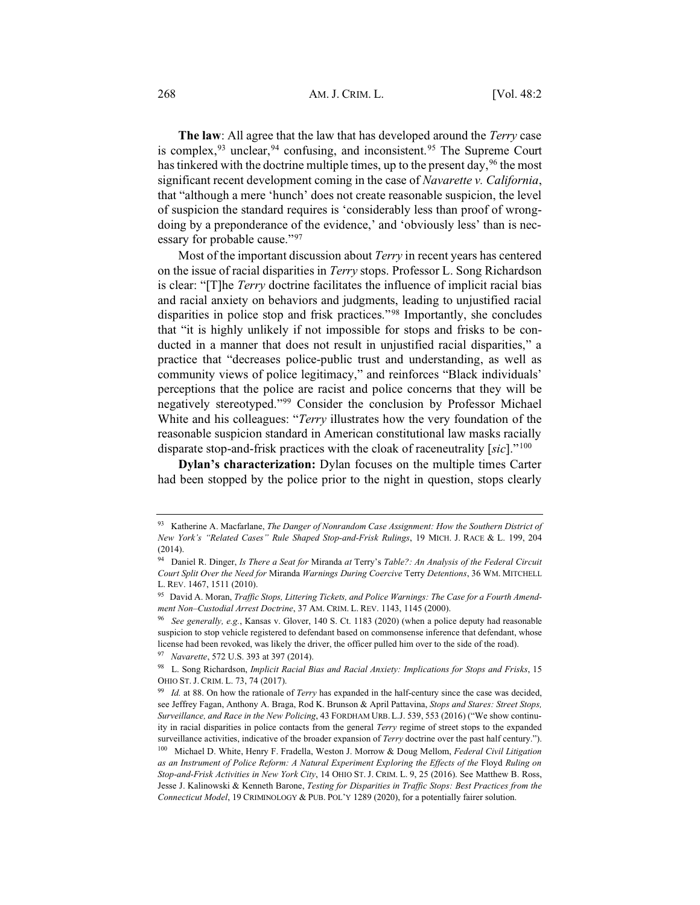**The law**: All agree that the law that has developed around the *Terry* case is complex,  $93$  unclear,  $94$  confusing, and inconsistent.  $95$  The Supreme Court has tinkered with the doctrine multiple times, up to the present day, <sup>96</sup> the most significant recent development coming in the case of *Navarette v. California*, that "although a mere 'hunch' does not create reasonable suspicion, the level of suspicion the standard requires is 'considerably less than proof of wrongdoing by a preponderance of the evidence,' and 'obviously less' than is necessary for probable cause."97

Most of the important discussion about *Terry* in recent years has centered on the issue of racial disparities in *Terry* stops. Professor L. Song Richardson is clear: "[T]he *Terry* doctrine facilitates the influence of implicit racial bias and racial anxiety on behaviors and judgments, leading to unjustified racial disparities in police stop and frisk practices."98 Importantly, she concludes that "it is highly unlikely if not impossible for stops and frisks to be conducted in a manner that does not result in unjustified racial disparities," a practice that "decreases police-public trust and understanding, as well as community views of police legitimacy," and reinforces "Black individuals' perceptions that the police are racist and police concerns that they will be negatively stereotyped."99 Consider the conclusion by Professor Michael White and his colleagues: "*Terry* illustrates how the very foundation of the reasonable suspicion standard in American constitutional law masks racially disparate stop-and-frisk practices with the cloak of raceneutrality [*sic*]."100

**Dylan's characterization:** Dylan focuses on the multiple times Carter had been stopped by the police prior to the night in question, stops clearly

<sup>93</sup> Katherine A. Macfarlane, *The Danger of Nonrandom Case Assignment: How the Southern District of New York's "Related Cases" Rule Shaped Stop-and-Frisk Rulings*, 19 MICH. J. RACE & L. 199, 204 (2014).

<sup>94</sup> Daniel R. Dinger, *Is There a Seat for* Miranda *at* Terry's *Table?: An Analysis of the Federal Circuit Court Split Over the Need for* Miranda *Warnings During Coercive* Terry *Detentions*, 36 WM. MITCHELL L. REV. 1467, 1511 (2010).

<sup>95</sup> David A. Moran, *Traffic Stops, Littering Tickets, and Police Warnings: The Case for a Fourth Amendment Non–Custodial Arrest Doctrine*, 37 AM. CRIM. L. REV. 1143, 1145 (2000).

<sup>96</sup> *See generally, e.g.*, Kansas v. Glover, 140 S. Ct. 1183 (2020) (when a police deputy had reasonable suspicion to stop vehicle registered to defendant based on commonsense inference that defendant, whose license had been revoked, was likely the driver, the officer pulled him over to the side of the road).

<sup>97</sup> *Navarette*, 572 U.S. 393 at 397 (2014).

<sup>98</sup> L. Song Richardson, *Implicit Racial Bias and Racial Anxiety: Implications for Stops and Frisks*, 15 OHIO ST. J. CRIM. L. 73, 74 (2017).

<sup>&</sup>lt;sup>99</sup> *Id.* at 88. On how the rationale of *Terry* has expanded in the half-century since the case was decided, see Jeffrey Fagan, Anthony A. Braga, Rod K. Brunson & April Pattavina, *Stops and Stares: Street Stops, Surveillance, and Race in the New Policing*, 43 FORDHAM URB. L.J. 539, 553 (2016) ("We show continuity in racial disparities in police contacts from the general *Terry* regime of street stops to the expanded surveillance activities, indicative of the broader expansion of *Terry* doctrine over the past half century."). <sup>100</sup> Michael D. White, Henry F. Fradella, Weston J. Morrow & Doug Mellom, *Federal Civil Litigation as an Instrument of Police Reform: A Natural Experiment Exploring the Effects of the* Floyd *Ruling on Stop-and-Frisk Activities in New York City*, 14 OHIO ST. J. CRIM. L. 9, 25 (2016). See Matthew B. Ross, Jesse J. Kalinowski & Kenneth Barone, *Testing for Disparities in Traffic Stops: Best Practices from the Connecticut Model*, 19 CRIMINOLOGY & PUB. POL'Y 1289 (2020), for a potentially fairer solution.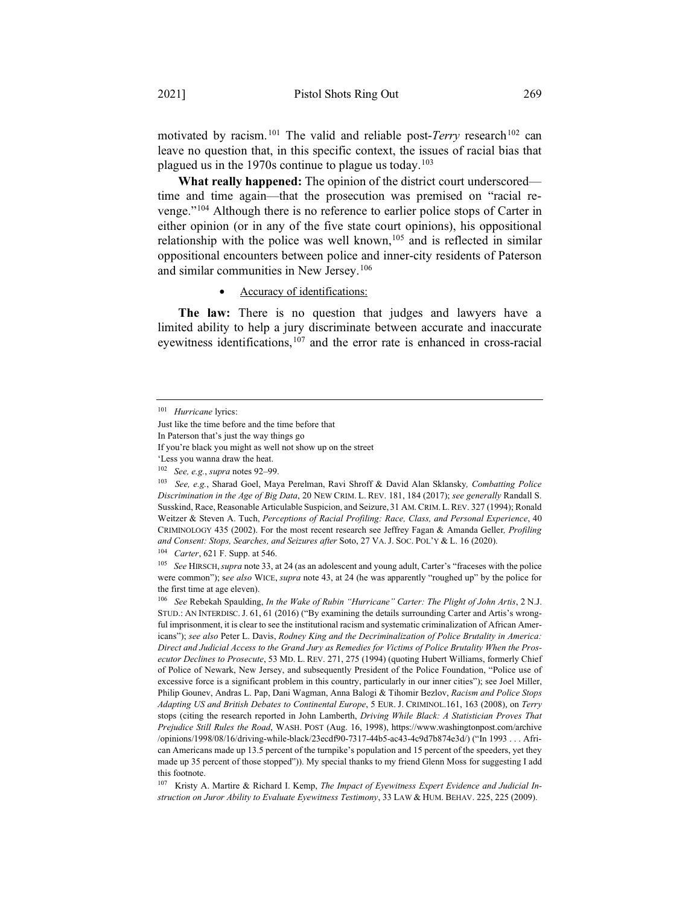motivated by racism.<sup>101</sup> The valid and reliable post-*Terry* research<sup>102</sup> can leave no question that, in this specific context, the issues of racial bias that plagued us in the 1970s continue to plague us today.<sup>103</sup>

**What really happened:** The opinion of the district court underscored time and time again—that the prosecution was premised on "racial revenge."104 Although there is no reference to earlier police stops of Carter in either opinion (or in any of the five state court opinions), his oppositional relationship with the police was well known, $105$  and is reflected in similar oppositional encounters between police and inner-city residents of Paterson and similar communities in New Jersey.<sup>106</sup>

Accuracy of identifications:

**The law:** There is no question that judges and lawyers have a limited ability to help a jury discriminate between accurate and inaccurate eyewitness identifications,<sup>107</sup> and the error rate is enhanced in cross-racial

<sup>101</sup> *Hurricane* lyrics:

Just like the time before and the time before that

In Paterson that's just the way things go

If you're black you might as well not show up on the street

<sup>&#</sup>x27;Less you wanna draw the heat.

<sup>102</sup> *See, e.g.*, *supra* notes 92–99.

<sup>103</sup> *See, e.g.*, Sharad Goel, Maya Perelman, Ravi Shroff & David Alan Sklansky*, Combatting Police Discrimination in the Age of Big Data*, 20 NEW CRIM. L. REV. 181, 184 (2017); *see generally* Randall S. Susskind, Race, Reasonable Articulable Suspicion, and Seizure, 31 AM. CRIM. L. REV. 327 (1994); Ronald Weitzer & Steven A. Tuch, *Perceptions of Racial Profiling: Race, Class, and Personal Experience*, 40 CRIMINOLOGY 435 (2002). For the most recent research see Jeffrey Fagan & Amanda Geller*, Profiling and Consent: Stops, Searches, and Seizures after* Soto, 27 VA. J. SOC. POL'Y & L. 16 (2020).

<sup>104</sup> *Carter*, 621 F. Supp. at 546.

<sup>105</sup> *See* HIRSCH,*supra* note 33, at 24 (as an adolescent and young adult, Carter's "fraceses with the police were common"); s*ee also* WICE, *supra* note 43, at 24 (he was apparently "roughed up" by the police for the first time at age eleven).

<sup>106</sup> *See* Rebekah Spaulding, *In the Wake of Rubin "Hurricane" Carter: The Plight of John Artis*, 2 N.J. STUD.: AN INTERDISC. J. 61, 61 (2016) ("By examining the details surrounding Carter and Artis's wrongful imprisonment, it is clear to see the institutional racism and systematic criminalization of African Americans"); *see also* Peter L. Davis, *Rodney King and the Decriminalization of Police Brutality in America: Direct and Judicial Access to the Grand Jury as Remedies for Victims of Police Brutality When the Prosecutor Declines to Prosecute*, 53 MD. L. REV. 271, 275 (1994) (quoting Hubert Williams, formerly Chief of Police of Newark, New Jersey, and subsequently President of the Police Foundation, "Police use of excessive force is a significant problem in this country, particularly in our inner cities"); see Joel Miller, Philip Gounev, Andras L. Pap, Dani Wagman, Anna Balogi & Tihomir Bezlov, *Racism and Police Stops Adapting US and British Debates to Continental Europe*, 5 EUR. J. CRIMINOL.161, 163 (2008), on *Terry* stops (citing the research reported in John Lamberth, *Driving While Black: A Statistician Proves That Prejudice Still Rules the Road*, WASH. POST (Aug. 16, 1998), https://www.washingtonpost.com/archive /opinions/1998/08/16/driving-while-black/23ecdf90-7317-44b5-ac43-4c9d7b874e3d/) ("In 1993 . . . African Americans made up 13.5 percent of the turnpike's population and 15 percent of the speeders, yet they made up 35 percent of those stopped")). My special thanks to my friend Glenn Moss for suggesting I add this footnote.

<sup>107</sup> Kristy A. Martire & Richard I. Kemp, *The Impact of Eyewitness Expert Evidence and Judicial Instruction on Juror Ability to Evaluate Eyewitness Testimony*, 33 LAW & HUM. BEHAV. 225, 225 (2009).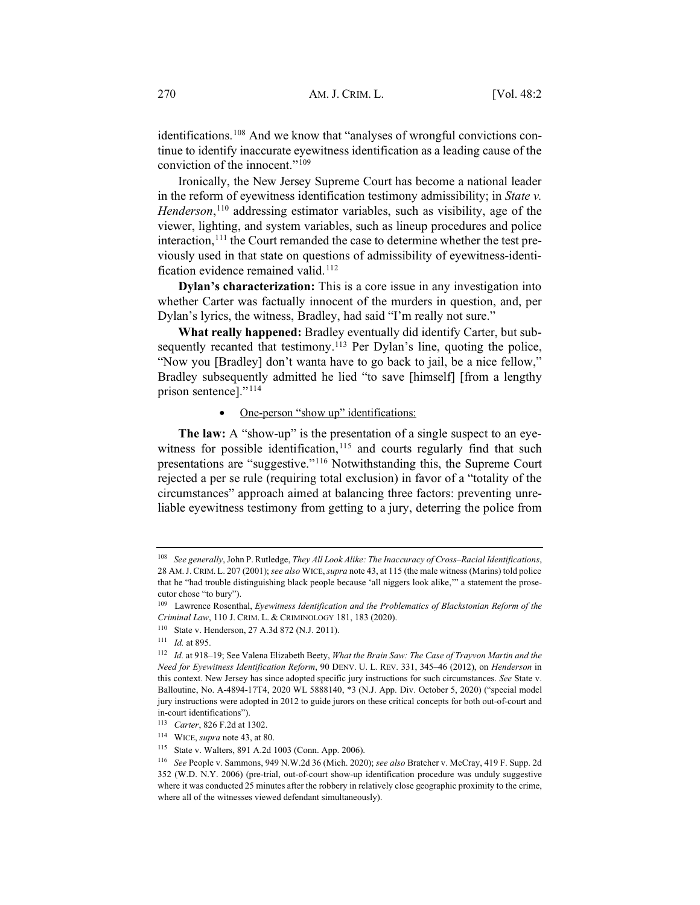identifications.<sup>108</sup> And we know that "analyses of wrongful convictions continue to identify inaccurate eyewitness identification as a leading cause of the conviction of the innocent."109

Ironically, the New Jersey Supreme Court has become a national leader in the reform of eyewitness identification testimony admissibility; in *State v. Henderson*, <sup>110</sup> addressing estimator variables, such as visibility, age of the viewer, lighting, and system variables, such as lineup procedures and police interaction,<sup>111</sup> the Court remanded the case to determine whether the test previously used in that state on questions of admissibility of eyewitness-identification evidence remained valid.<sup>112</sup>

**Dylan's characterization:** This is a core issue in any investigation into whether Carter was factually innocent of the murders in question, and, per Dylan's lyrics, the witness, Bradley, had said "I'm really not sure."

**What really happened:** Bradley eventually did identify Carter, but subsequently recanted that testimony.<sup>113</sup> Per Dylan's line, quoting the police, "Now you [Bradley] don't wanta have to go back to jail, be a nice fellow," Bradley subsequently admitted he lied "to save [himself] [from a lengthy prison sentence]."114

#### • One-person "show up" identifications:

The law: A "show-up" is the presentation of a single suspect to an eyewitness for possible identification, $115$  and courts regularly find that such presentations are "suggestive."116 Notwithstanding this, the Supreme Court rejected a per se rule (requiring total exclusion) in favor of a "totality of the circumstances" approach aimed at balancing three factors: preventing unreliable eyewitness testimony from getting to a jury, deterring the police from

<sup>108</sup> *See generally*, John P. Rutledge, *They All Look Alike: The Inaccuracy of Cross*–*Racial Identifications*, 28 AM. J. CRIM. L. 207 (2001); *see also* WICE,*supra* note 43, at 115 (the male witness (Marins) told police that he "had trouble distinguishing black people because 'all niggers look alike,'" a statement the prosecutor chose "to bury").

<sup>109</sup> Lawrence Rosenthal, *Eyewitness Identification and the Problematics of Blackstonian Reform of the Criminal Law*, 110 J. CRIM. L. & CRIMINOLOGY 181, 183 (2020).

<sup>110</sup> State v. Henderson, 27 A.3d 872 (N.J. 2011).

<sup>111</sup> *Id.* at 895.

<sup>112</sup> *Id.* at 918–19; See Valena Elizabeth Beety, *What the Brain Saw: The Case of Trayvon Martin and the Need for Eyewitness Identification Reform*, 90 DENV. U. L. REV. 331, 345–46 (2012), on *Henderson* in this context. New Jersey has since adopted specific jury instructions for such circumstances. *See* State v. Balloutine, No. A-4894-17T4, 2020 WL 5888140, \*3 (N.J. App. Div. October 5, 2020) ("special model jury instructions were adopted in 2012 to guide jurors on these critical concepts for both out-of-court and in-court identifications").

<sup>113</sup> *Carter*, 826 F.2d at 1302.

<sup>114</sup> WICE, *supra* note 43, at 80.

<sup>115</sup> State v. Walters, 891 A.2d 1003 (Conn. App. 2006).

<sup>116</sup> *See* People v. Sammons, 949 N.W.2d 36 (Mich. 2020); *see also* Bratcher v. McCray, 419 F. Supp. 2d 352 (W.D. N.Y. 2006) (pre-trial, out-of-court show-up identification procedure was unduly suggestive where it was conducted 25 minutes after the robbery in relatively close geographic proximity to the crime, where all of the witnesses viewed defendant simultaneously).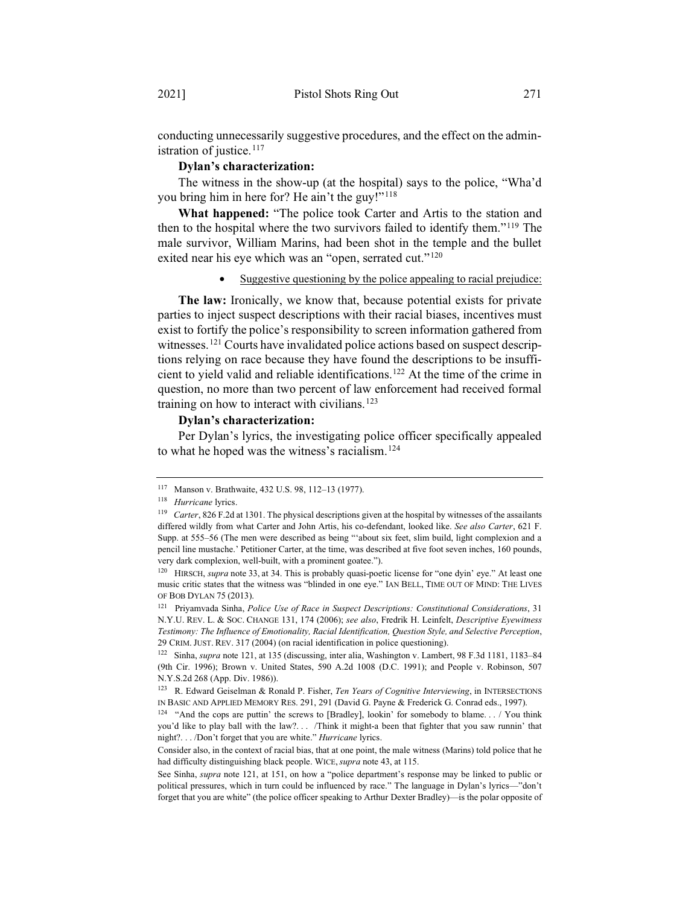conducting unnecessarily suggestive procedures, and the effect on the administration of justice.<sup>117</sup>

# **Dylan's characterization:**

The witness in the show-up (at the hospital) says to the police, "Wha'd you bring him in here for? He ain't the guy!"118

**What happened:** "The police took Carter and Artis to the station and then to the hospital where the two survivors failed to identify them."119 The male survivor, William Marins, had been shot in the temple and the bullet exited near his eye which was an "open, serrated cut."<sup>120</sup>

Suggestive questioning by the police appealing to racial prejudice:

**The law:** Ironically, we know that, because potential exists for private parties to inject suspect descriptions with their racial biases, incentives must exist to fortify the police's responsibility to screen information gathered from witnesses.<sup>121</sup> Courts have invalidated police actions based on suspect descriptions relying on race because they have found the descriptions to be insufficient to yield valid and reliable identifications.122 At the time of the crime in question, no more than two percent of law enforcement had received formal training on how to interact with civilians.<sup>123</sup>

# **Dylan's characterization:**

Per Dylan's lyrics, the investigating police officer specifically appealed to what he hoped was the witness's racialism.124

<sup>117</sup> Manson v. Brathwaite, 432 U.S. 98, 112–13 (1977).

<sup>118</sup> *Hurricane* lyrics.

<sup>119</sup> *Carter*, 826 F.2d at 1301. The physical descriptions given at the hospital by witnesses of the assailants differed wildly from what Carter and John Artis, his co-defendant, looked like. *See also Carter*, 621 F. Supp. at 555–56 (The men were described as being "'about six feet, slim build, light complexion and a pencil line mustache.' Petitioner Carter, at the time, was described at five foot seven inches, 160 pounds, very dark complexion, well-built, with a prominent goatee.").

<sup>120</sup> HIRSCH, *supra* note 33, at 34. This is probably quasi-poetic license for "one dyin' eye." At least one music critic states that the witness was "blinded in one eye." IAN BELL, TIME OUT OF MIND: THE LIVES OF BOB DYLAN 75 (2013).

<sup>121</sup> Priyamvada Sinha, *Police Use of Race in Suspect Descriptions: Constitutional Considerations*, 31 N.Y.U. REV. L. & SOC. CHANGE 131, 174 (2006); *see also*, Fredrik H. Leinfelt, *Descriptive Eyewitness Testimony: The Influence of Emotionality, Racial Identification, Question Style, and Selective Perception*, 29 CRIM. JUST. REV. 317 (2004) (on racial identification in police questioning).

<sup>122</sup> Sinha, *supra* note 121, at 135 (discussing, inter alia, Washington v. Lambert, 98 F.3d 1181, 1183–84 (9th Cir. 1996); Brown v. United States, 590 A.2d 1008 (D.C. 1991); and People v. Robinson, 507 N.Y.S.2d 268 (App. Div. 1986)).

<sup>123</sup> R. Edward Geiselman & Ronald P. Fisher, *Ten Years of Cognitive Interviewing*, in INTERSECTIONS IN BASIC AND APPLIED MEMORY RES. 291, 291 (David G. Payne & Frederick G. Conrad eds., 1997).

<sup>&</sup>lt;sup>124</sup> "And the cops are puttin' the screws to [Bradley], lookin' for somebody to blame... / You think you'd like to play ball with the law?... /Think it might-a been that fighter that you saw runnin' that night?. . . /Don't forget that you are white." *Hurricane* lyrics.

Consider also, in the context of racial bias, that at one point, the male witness (Marins) told police that he had difficulty distinguishing black people. WICE,*supra* note 43, at 115.

See Sinha, *supra* note 121, at 151, on how a "police department's response may be linked to public or political pressures, which in turn could be influenced by race." The language in Dylan's lyrics—"don't forget that you are white" (the police officer speaking to Arthur Dexter Bradley)—is the polar opposite of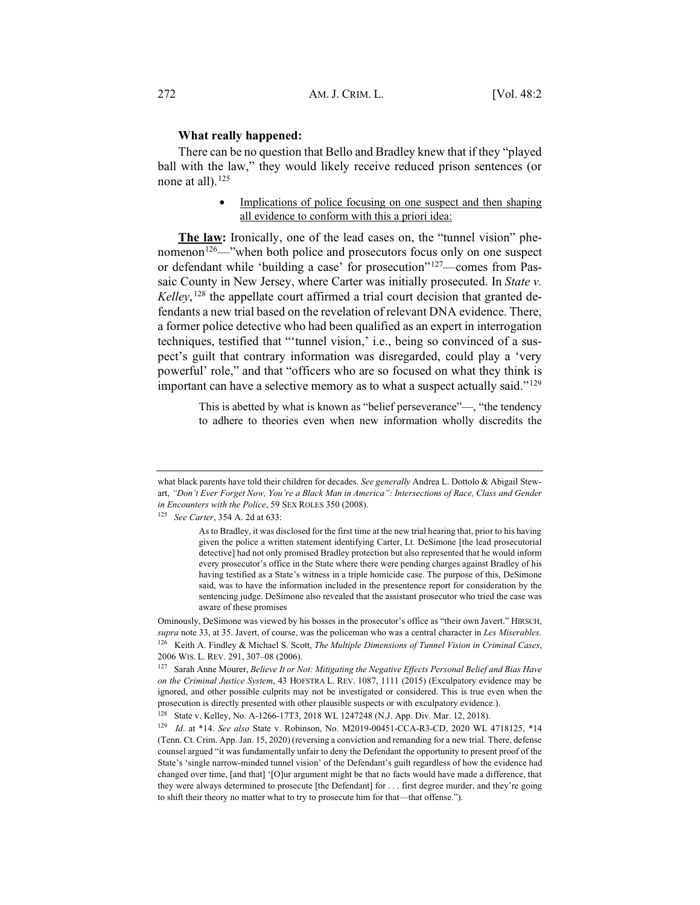#### **What really happened:**

There can be no question that Bello and Bradley knew that if they "played ball with the law," they would likely receive reduced prison sentences (or none at all). $125$ 

> Implications of police focusing on one suspect and then shaping all evidence to conform with this a priori idea:

**The law:** Ironically, one of the lead cases on, the "tunnel vision" phenomenon<sup>126</sup>—"when both police and prosecutors focus only on one suspect or defendant while 'building a case' for prosecution"127—comes from Passaic County in New Jersey, where Carter was initially prosecuted. In *State v. Kelley*,<sup>128</sup> the appellate court affirmed a trial court decision that granted defendants a new trial based on the revelation of relevant DNA evidence. There, a former police detective who had been qualified as an expert in interrogation techniques, testified that "'tunnel vision,' i.e., being so convinced of a suspect's guilt that contrary information was disregarded, could play a 'very powerful' role," and that "officers who are so focused on what they think is important can have a selective memory as to what a suspect actually said."129

> This is abetted by what is known as "belief perseverance"—, "the tendency to adhere to theories even when new information wholly discredits the

<sup>125</sup> *See Carter*, 354 A. 2d at 633:

what black parents have told their children for decades. *See generally* Andrea L. Dottolo & Abigail Stewart, *"Don't Ever Forget Now, You're a Black Man in America": Intersections of Race, Class and Gender in Encounters with the Police*, 59 SEX ROLES 350 (2008).

As to Bradley, it was disclosed for the first time at the new trial hearing that, prior to his having given the police a written statement identifying Carter, Lt. DeSimone [the lead prosecutorial detective] had not only promised Bradley protection but also represented that he would inform every prosecutor's office in the State where there were pending charges against Bradley of his having testified as a State's witness in a triple homicide case. The purpose of this, DeSimone said, was to have the information included in the presentence report for consideration by the sentencing judge. DeSimone also revealed that the assistant prosecutor who tried the case was aware of these promises

Ominously, DeSimone was viewed by his bosses in the prosecutor's office as "their own Javert." HIRSCH, *supra* note 33, at 35. Javert, of course, was the policeman who was a central character in *Les Miserables.* <sup>126</sup> Keith A. Findley & Michael S. Scott, *The Multiple Dimensions of Tunnel Vision in Criminal Cases*, 2006 WIS. L. REV. 291, 307–08 (2006).

<sup>127</sup> Sarah Anne Mourer, *Believe It or Not: Mitigating the Negative Effects Personal Belief and Bias Have on the Criminal Justice System*, 43 HOFSTRA L. REV. 1087, 1111 (2015) (Exculpatory evidence may be ignored, and other possible culprits may not be investigated or considered. This is true even when the prosecution is directly presented with other plausible suspects or with exculpatory evidence.).

<sup>128</sup> State v. Kelley, No. A-1266-17T3, 2018 WL 1247248 (N.J. App. Div. Mar. 12, 2018).

<sup>129</sup> *Id*. at \*14. *See also* State v. Robinson, No. M2019-00451-CCA-R3-CD, 2020 WL 4718125, \*14 (Tenn. Ct. Crim. App. Jan. 15, 2020) (reversing a conviction and remanding for a new trial. There, defense counsel argued "it was fundamentally unfair to deny the Defendant the opportunity to present proof of the State's 'single narrow-minded tunnel vision' of the Defendant's guilt regardless of how the evidence had changed over time, [and that] '[O]ur argument might be that no facts would have made a difference, that they were always determined to prosecute [the Defendant] for . . . first degree murder, and they're going to shift their theory no matter what to try to prosecute him for that—that offense.").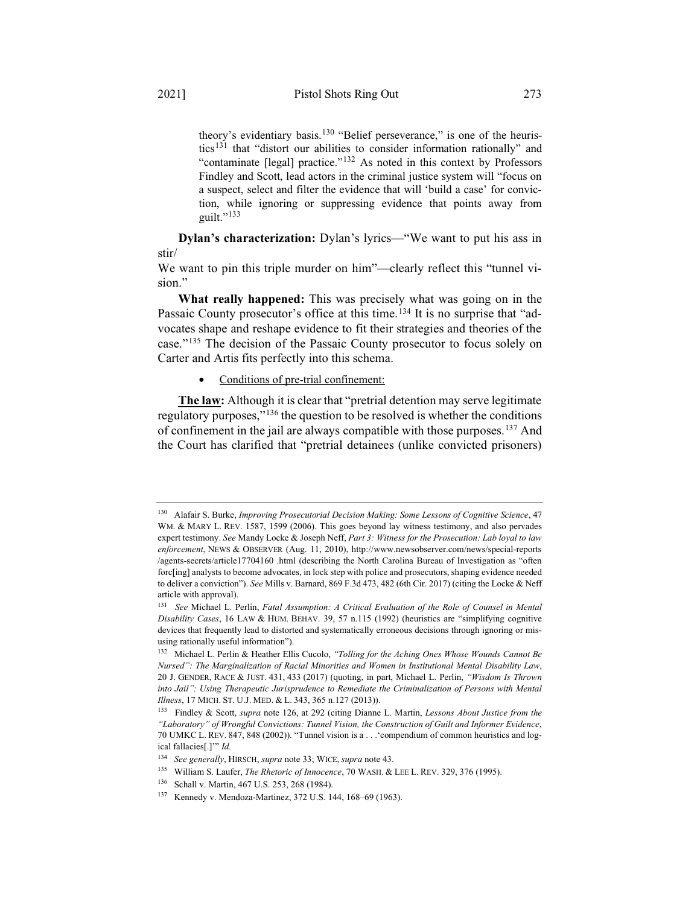theory's evidentiary basis.<sup>130</sup> "Belief perseverance," is one of the heuristics<sup>131</sup> that "distort our abilities to consider information rationally" and "contaminate [legal] practice."<sup>132</sup> As noted in this context by Professors Findley and Scott, lead actors in the criminal justice system will "focus on a suspect, select and filter the evidence that will 'build a case' for conviction, while ignoring or suppressing evidence that points away from

**Dylan's characterization:** Dylan's lyrics—"We want to put his ass in stir/

We want to pin this triple murder on him"—clearly reflect this "tunnel vision."

**What really happened:** This was precisely what was going on in the Passaic County prosecutor's office at this time.<sup>134</sup> It is no surprise that "advocates shape and reshape evidence to fit their strategies and theories of the case."135 The decision of the Passaic County prosecutor to focus solely on Carter and Artis fits perfectly into this schema.

• Conditions of pre-trial confinement:

**The law:** Although it is clear that "pretrial detention may serve legitimate regulatory purposes,"136 the question to be resolved is whether the conditions of confinement in the jail are always compatible with those purposes.137 And the Court has clarified that "pretrial detainees (unlike convicted prisoners)

guilt." $^{133}$ 

<sup>130</sup> Alafair S. Burke, *Improving Prosecutorial Decision Making: Some Lessons of Cognitive Science*, 47 WM. & MARY L. REV. 1587, 1599 (2006). This goes beyond lay witness testimony, and also pervades expert testimony. *See* Mandy Locke & Joseph Neff, *Part 3: Witness for the Prosecution: Lab loyal to law enforcement*, NEWS & OBSERVER (Aug. 11, 2010), http://www.newsobserver.com/news/special-reports /agents-secrets/article17704160 .html (describing the North Carolina Bureau of Investigation as "often forc[ing] analysts to become advocates, in lock step with police and prosecutors, shaping evidence needed to deliver a conviction"). *See* Mills v. Barnard, 869 F.3d 473, 482 (6th Cir. 2017) (citing the Locke & Neff article with approval).

<sup>131</sup> *See* Michael L. Perlin, *Fatal Assumption: A Critical Evaluation of the Role of Counsel in Mental Disability Cases*, 16 LAW & HUM. BEHAV. 39, 57 n.115 (1992) (heuristics are "simplifying cognitive devices that frequently lead to distorted and systematically erroneous decisions through ignoring or misusing rationally useful information").

<sup>132</sup> Michael L. Perlin & Heather Ellis Cucolo, *"Tolling for the Aching Ones Whose Wounds Cannot Be Nursed": The Marginalization of Racial Minorities and Women in Institutional Mental Disability Law*, 20 J. GENDER, RACE & JUST. 431, 433 (2017) (quoting, in part, Michael L. Perlin, *"Wisdom Is Thrown into Jail": Using Therapeutic Jurisprudence to Remediate the Criminalization of Persons with Mental Illness*, 17 MICH. ST. U.J. MED. & L. 343, 365 n.127 (2013)).

<sup>133</sup> Findley & Scott, *supra* note 126, at 292 (citing Dianne L. Martin, *Lessons About Justice from the "Laboratory" of Wrongful Convictions: Tunnel Vision, the Construction of Guilt and Informer Evidence*, 70 UMKC L. REV. 847, 848 (2002)). "Tunnel vision is a . . .'compendium of common heuristics and logical fallacies[.]'" *Id.*

<sup>134</sup> *See generally*, HIRSCH, *supra* note 33; WICE, *supra* note 43.

<sup>135</sup> William S. Laufer, *The Rhetoric of Innocence*, 70 WASH.&LEE L. REV. 329, 376 (1995).

<sup>136</sup> Schall v. Martin, 467 U.S. 253, 268 (1984).

<sup>137</sup> Kennedy v. Mendoza-Martinez, 372 U.S. 144, 168–69 (1963).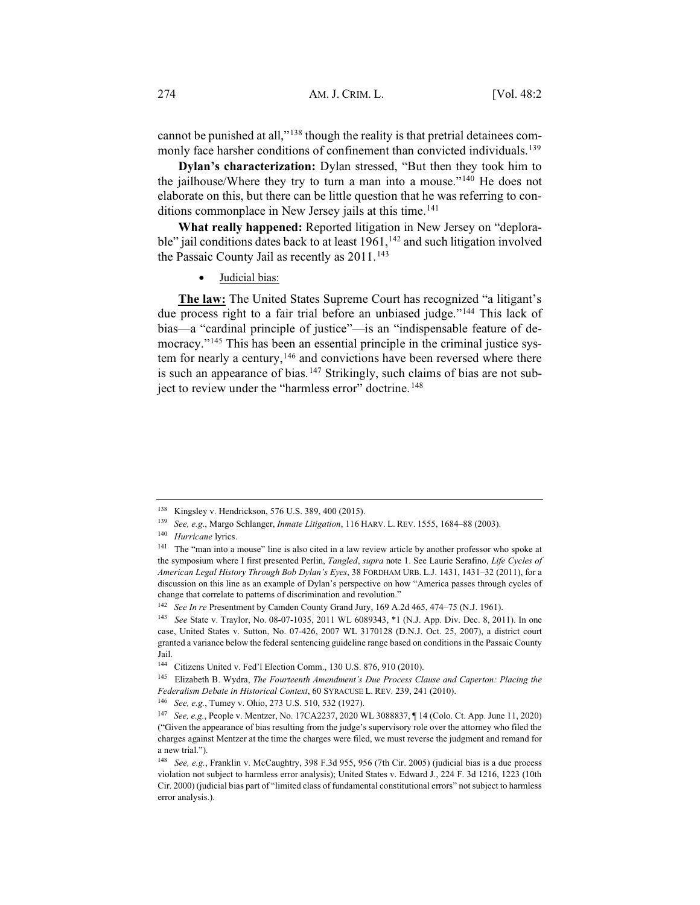cannot be punished at all,"138 though the reality is that pretrial detainees commonly face harsher conditions of confinement than convicted individuals.<sup>139</sup>

**Dylan's characterization:** Dylan stressed, "But then they took him to the jailhouse/Where they try to turn a man into a mouse."140 He does not elaborate on this, but there can be little question that he was referring to conditions commonplace in New Jersey jails at this time.<sup>141</sup>

**What really happened:** Reported litigation in New Jersey on "deplorable" iail conditions dates back to at least 1961,<sup>142</sup> and such litigation involved the Passaic County Jail as recently as  $2011$ .<sup>143</sup>

Judicial bias:

**The law:** The United States Supreme Court has recognized "a litigant's due process right to a fair trial before an unbiased judge."<sup>144</sup> This lack of bias—a "cardinal principle of justice"—is an "indispensable feature of democracy."145 This has been an essential principle in the criminal justice system for nearly a century,<sup>146</sup> and convictions have been reversed where there is such an appearance of bias.<sup>147</sup> Strikingly, such claims of bias are not subject to review under the "harmless error" doctrine.<sup>148</sup>

<sup>138</sup> Kingsley v. Hendrickson, 576 U.S. 389, 400 (2015).

<sup>139</sup> *See, e.g*., Margo Schlanger, *Inmate Litigation*, 116 HARV. L. REV. 1555, 1684–88 (2003).

<sup>140</sup> *Hurricane* lyrics.

<sup>&</sup>lt;sup>141</sup> The "man into a mouse" line is also cited in a law review article by another professor who spoke at the symposium where I first presented Perlin, *Tangled*, *supra* note 1. See Laurie Serafino, *Life Cycles of American Legal History Through Bob Dylan's Eyes*, 38 FORDHAM URB. L.J. 1431, 1431–32 (2011), for a discussion on this line as an example of Dylan's perspective on how "America passes through cycles of change that correlate to patterns of discrimination and revolution."

<sup>142</sup> *See In re* Presentment by Camden County Grand Jury, 169 A.2d 465, 474–75 (N.J. 1961).

<sup>143</sup> *See* State v. Traylor, No. 08-07-1035, 2011 WL 6089343, \*1 (N.J. App. Div. Dec. 8, 2011). In one case, United States v. Sutton, No. 07-426, 2007 WL 3170128 (D.N.J. Oct. 25, 2007), a district court granted a variance below the federal sentencing guideline range based on conditions in the Passaic County Jail.

<sup>144</sup> Citizens United v. Fed'l Election Comm., 130 U.S. 876, 910 (2010).

<sup>145</sup> Elizabeth B. Wydra, *The Fourteenth Amendment's Due Process Clause and Caperton: Placing the Federalism Debate in Historical Context*, 60 SYRACUSE L. REV. 239, 241 (2010).

<sup>146</sup> *See, e.g.*, Tumey v. Ohio, 273 U.S. 510, 532 (1927).

<sup>147</sup> *See, e.g.*, People v. Mentzer, No. 17CA2237, 2020 WL 3088837, ¶ 14 (Colo. Ct. App. June 11, 2020) ("Given the appearance of bias resulting from the judge's supervisory role over the attorney who filed the charges against Mentzer at the time the charges were filed, we must reverse the judgment and remand for a new trial.").

<sup>148</sup> *See, e.g.*, Franklin v. McCaughtry, 398 F.3d 955, 956 (7th Cir. 2005) (judicial bias is a due process violation not subject to harmless error analysis); United States v. Edward J., 224 F. 3d 1216, 1223 (10th Cir. 2000) (judicial bias part of "limited class of fundamental constitutional errors" not subject to harmless error analysis.).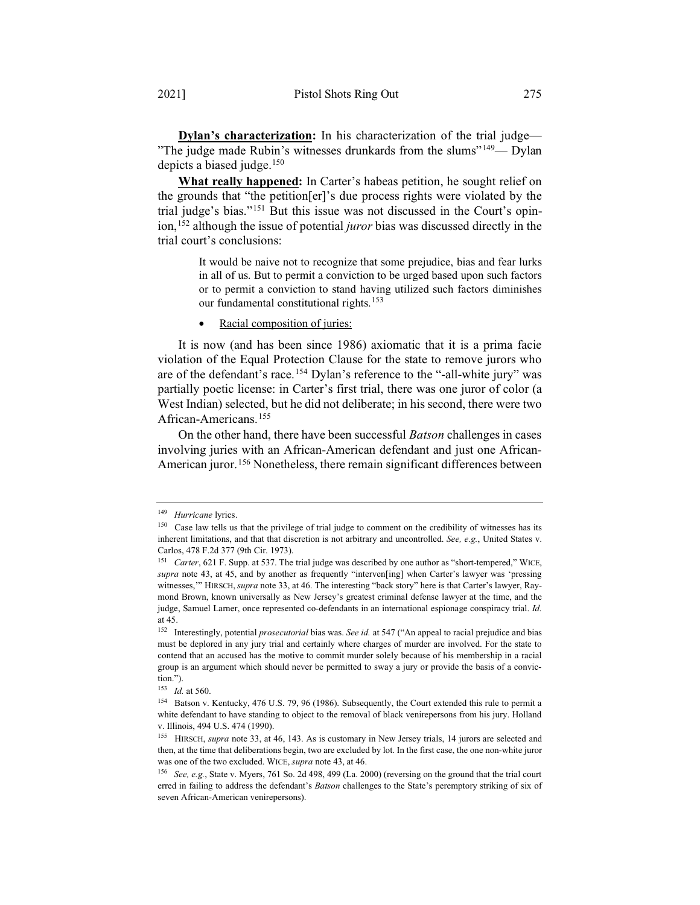**Dylan's characterization:** In his characterization of the trial judge— "The judge made Rubin's witnesses drunkards from the slums"149— Dylan depicts a biased judge.<sup>150</sup>

**What really happened:** In Carter's habeas petition, he sought relief on the grounds that "the petition[er]'s due process rights were violated by the trial judge's bias."151 But this issue was not discussed in the Court's opinion,152 although the issue of potential *juror* bias was discussed directly in the trial court's conclusions:

> It would be naive not to recognize that some prejudice, bias and fear lurks in all of us. But to permit a conviction to be urged based upon such factors or to permit a conviction to stand having utilized such factors diminishes our fundamental constitutional rights.<sup>153</sup>

Racial composition of juries:

It is now (and has been since 1986) axiomatic that it is a prima facie violation of the Equal Protection Clause for the state to remove jurors who are of the defendant's race.<sup>154</sup> Dylan's reference to the "-all-white jury" was partially poetic license: in Carter's first trial, there was one juror of color (a West Indian) selected, but he did not deliberate; in his second, there were two African-Americans.<sup>155</sup>

On the other hand, there have been successful *Batson* challenges in cases involving juries with an African-American defendant and just one African-American juror.<sup>156</sup> Nonetheless, there remain significant differences between

<sup>149</sup> *Hurricane* lyrics.

<sup>&</sup>lt;sup>150</sup> Case law tells us that the privilege of trial judge to comment on the credibility of witnesses has its inherent limitations, and that that discretion is not arbitrary and uncontrolled. *See, e.g.*, United States v. Carlos, 478 F.2d 377 (9th Cir. 1973).

<sup>151</sup> *Carter*, 621 F. Supp. at 537. The trial judge was described by one author as "short-tempered," WICE, *supra* note 43, at 45, and by another as frequently "interven[ing] when Carter's lawyer was 'pressing witnesses,'" HIRSCH, *supra* note 33, at 46. The interesting "back story" here is that Carter's lawyer, Raymond Brown, known universally as New Jersey's greatest criminal defense lawyer at the time, and the judge, Samuel Larner, once represented co-defendants in an international espionage conspiracy trial. *Id.* at 45.

<sup>152</sup> Interestingly, potential *prosecutorial* bias was. *See id.* at 547 ("An appeal to racial prejudice and bias must be deplored in any jury trial and certainly where charges of murder are involved. For the state to contend that an accused has the motive to commit murder solely because of his membership in a racial group is an argument which should never be permitted to sway a jury or provide the basis of a conviction.").

<sup>153</sup> *Id.* at 560.

<sup>154</sup> Batson v. Kentucky, 476 U.S. 79, 96 (1986). Subsequently, the Court extended this rule to permit a white defendant to have standing to object to the removal of black venirepersons from his jury. Holland v. Illinois, 494 U.S. 474 (1990).

<sup>155</sup> HIRSCH, *supra* note 33, at 46, 143. As is customary in New Jersey trials, 14 jurors are selected and then, at the time that deliberations begin, two are excluded by lot. In the first case, the one non-white juror was one of the two excluded. WICE, *supra* note 43, at 46.

<sup>&</sup>lt;sup>156</sup> *See, e.g.*, State v. Myers, 761 So. 2d 498, 499 (La. 2000) (reversing on the ground that the trial court erred in failing to address the defendant's *Batson* challenges to the State's peremptory striking of six of seven African-American venirepersons).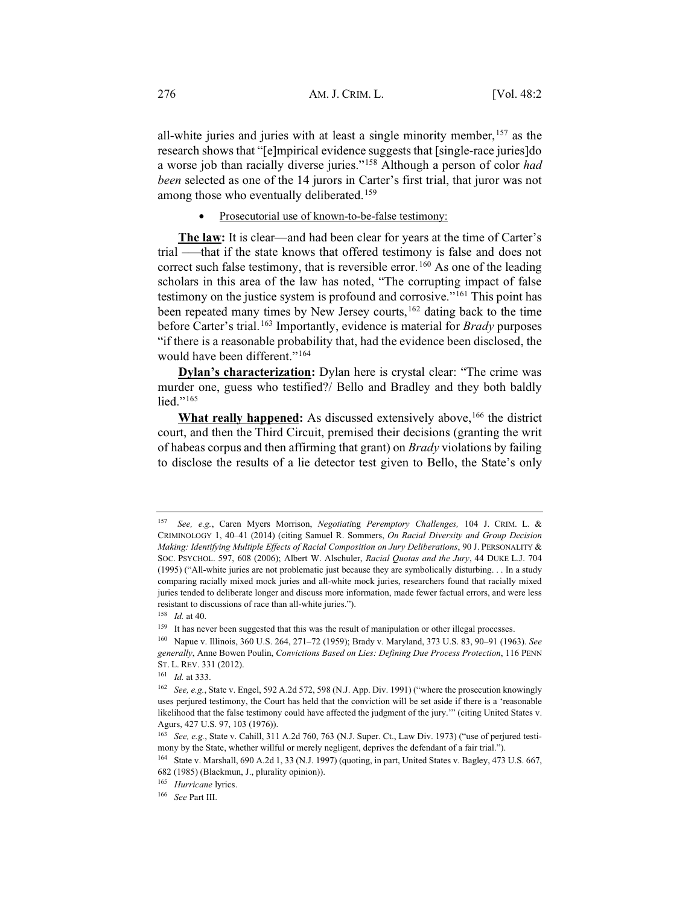all-white juries and juries with at least a single minority member,  $157$  as the research shows that "[e]mpirical evidence suggests that [single-race juries]do a worse job than racially diverse juries."158 Although a person of color *had been* selected as one of the 14 jurors in Carter's first trial, that juror was not among those who eventually deliberated.<sup>159</sup>

• Prosecutorial use of known-to-be-false testimony:

**The law:** It is clear—and had been clear for years at the time of Carter's trial –—that if the state knows that offered testimony is false and does not correct such false testimony, that is reversible error.<sup>160</sup> As one of the leading scholars in this area of the law has noted, "The corrupting impact of false testimony on the justice system is profound and corrosive."161 This point has been repeated many times by New Jersey courts,<sup>162</sup> dating back to the time before Carter's trial.163 Importantly, evidence is material for *Brady* purposes "if there is a reasonable probability that, had the evidence been disclosed, the would have been different."164

**Dylan's characterization:** Dylan here is crystal clear: "The crime was murder one, guess who testified?/ Bello and Bradley and they both baldly lied."<sup>165</sup>

**What really happened:** As discussed extensively above,<sup>166</sup> the district court, and then the Third Circuit, premised their decisions (granting the writ of habeas corpus and then affirming that grant) on *Brady* violations by failing to disclose the results of a lie detector test given to Bello, the State's only

<sup>157</sup> *See, e.g.*, Caren Myers Morrison, *Negotiati*ng *Peremptory Challenges,* 104 J. CRIM. L. & CRIMINOLOGY 1, 40–41 (2014) (citing Samuel R. Sommers, *On Racial Diversity and Group Decision Making: Identifying Multiple Effects of Racial Composition on Jury Deliberations*, 90 J. PERSONALITY & SOC. PSYCHOL. 597, 608 (2006); Albert W. Alschuler, *Racial Quotas and the Jury*, 44 DUKE L.J. 704 (1995) ("All-white juries are not problematic just because they are symbolically disturbing. . . In a study comparing racially mixed mock juries and all-white mock juries, researchers found that racially mixed juries tended to deliberate longer and discuss more information, made fewer factual errors, and were less resistant to discussions of race than all-white juries.").

<sup>158</sup> *Id.* at 40.

<sup>&</sup>lt;sup>159</sup> It has never been suggested that this was the result of manipulation or other illegal processes.

<sup>160</sup> Napue v. Illinois, 360 U.S. 264, 271–72 (1959); Brady v. Maryland, 373 U.S. 83, 90–91 (1963). *See generally*, Anne Bowen Poulin, *Convictions Based on Lies: Defining Due Process Protection*, 116 PENN ST. L. REV. 331 (2012).

<sup>161</sup> *Id.* at 333.

<sup>162</sup> *See, e.g.*, State v. Engel, 592 A.2d 572, 598 (N.J. App. Div. 1991) ("where the prosecution knowingly uses perjured testimony, the Court has held that the conviction will be set aside if there is a 'reasonable likelihood that the false testimony could have affected the judgment of the jury.'" (citing United States v. Agurs, 427 U.S. 97, 103 (1976)).

<sup>163</sup> *See, e.g.*, State v. Cahill, 311 A.2d 760, 763 (N.J. Super. Ct., Law Div. 1973) ("use of perjured testimony by the State, whether willful or merely negligent, deprives the defendant of a fair trial.").

<sup>164</sup> State v. Marshall, 690 A.2d 1, 33 (N.J. 1997) (quoting, in part, United States v. Bagley, 473 U.S. 667, 682 (1985) (Blackmun, J., plurality opinion)).

<sup>165</sup> *Hurricane* lyrics.

<sup>166</sup> *See* Part III.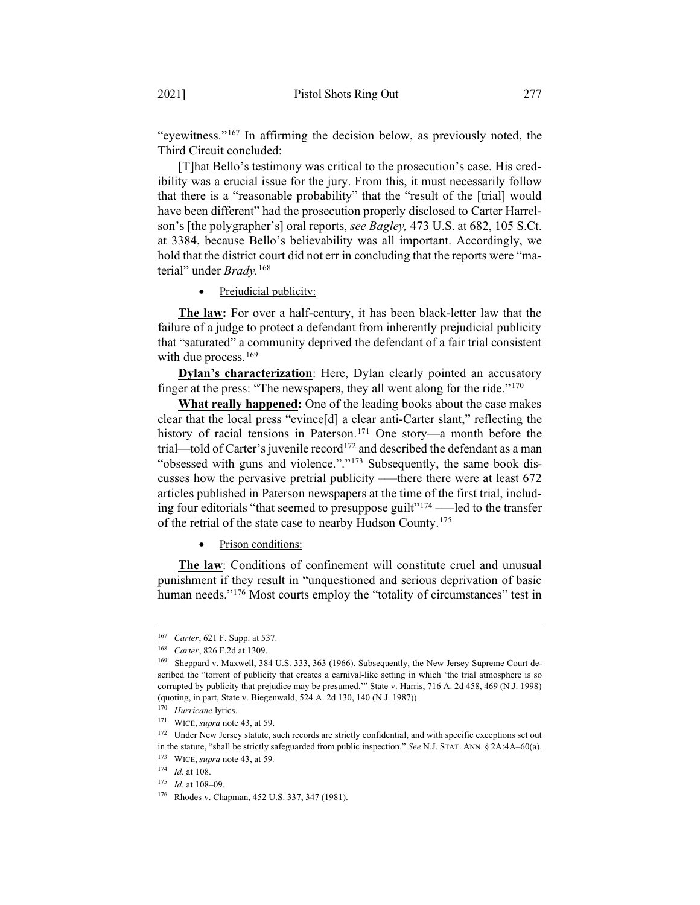"eyewitness."167 In affirming the decision below, as previously noted, the Third Circuit concluded:

[T]hat Bello's testimony was critical to the prosecution's case. His credibility was a crucial issue for the jury. From this, it must necessarily follow that there is a "reasonable probability" that the "result of the [trial] would have been different" had the prosecution properly disclosed to Carter Harrelson's [the polygrapher's] oral reports, *see Bagley,* 473 U.S. at 682, 105 S.Ct. at 3384, because Bello's believability was all important. Accordingly, we hold that the district court did not err in concluding that the reports were "material" under *Brady.* 168

• Prejudicial publicity:

**The law:** For over a half-century, it has been black-letter law that the failure of a judge to protect a defendant from inherently prejudicial publicity that "saturated" a community deprived the defendant of a fair trial consistent with due process.<sup>169</sup>

**Dylan's characterization**: Here, Dylan clearly pointed an accusatory finger at the press: "The newspapers, they all went along for the ride."<sup>170</sup>

**What really happened:** One of the leading books about the case makes clear that the local press "evince[d] a clear anti-Carter slant," reflecting the history of racial tensions in Paterson.<sup>171</sup> One story—a month before the trial—told of Carter's juvenile record<sup>172</sup> and described the defendant as a man "obsessed with guns and violence."."<sup>173</sup> Subsequently, the same book discusses how the pervasive pretrial publicity –—there there were at least 672 articles published in Paterson newspapers at the time of the first trial, including four editorials "that seemed to presuppose guilt"<sup>174</sup> — led to the transfer of the retrial of the state case to nearby Hudson County.175

Prison conditions:

**The law**: Conditions of confinement will constitute cruel and unusual punishment if they result in "unquestioned and serious deprivation of basic human needs."<sup>176</sup> Most courts employ the "totality of circumstances" test in

<sup>167</sup> *Carter*, 621 F. Supp. at 537.

<sup>168</sup> *Carter*, 826 F.2d at 1309.

<sup>169</sup> Sheppard v. Maxwell, 384 U.S. 333, 363 (1966). Subsequently, the New Jersey Supreme Court described the "torrent of publicity that creates a carnival-like setting in which 'the trial atmosphere is so corrupted by publicity that prejudice may be presumed.'" State v. Harris, 716 A. 2d 458, 469 (N.J. 1998) (quoting, in part, State v. Biegenwald, 524 A. 2d 130, 140 (N.J. 1987)).

<sup>170</sup> *Hurricane* lyrics.

<sup>171</sup> WICE, *supra* note 43, at 59.

<sup>&</sup>lt;sup>172</sup> Under New Jersey statute, such records are strictly confidential, and with specific exceptions set out in the statute, "shall be strictly safeguarded from public inspection." *See* N.J. STAT. ANN. § 2A:4A–60(a).

<sup>173</sup> WICE, *supra* note 43, at 59*.*

<sup>174</sup> *Id.* at 108.

<sup>175</sup> *Id.* at 108–09.

<sup>176</sup> Rhodes v. Chapman, 452 U.S. 337, 347 (1981).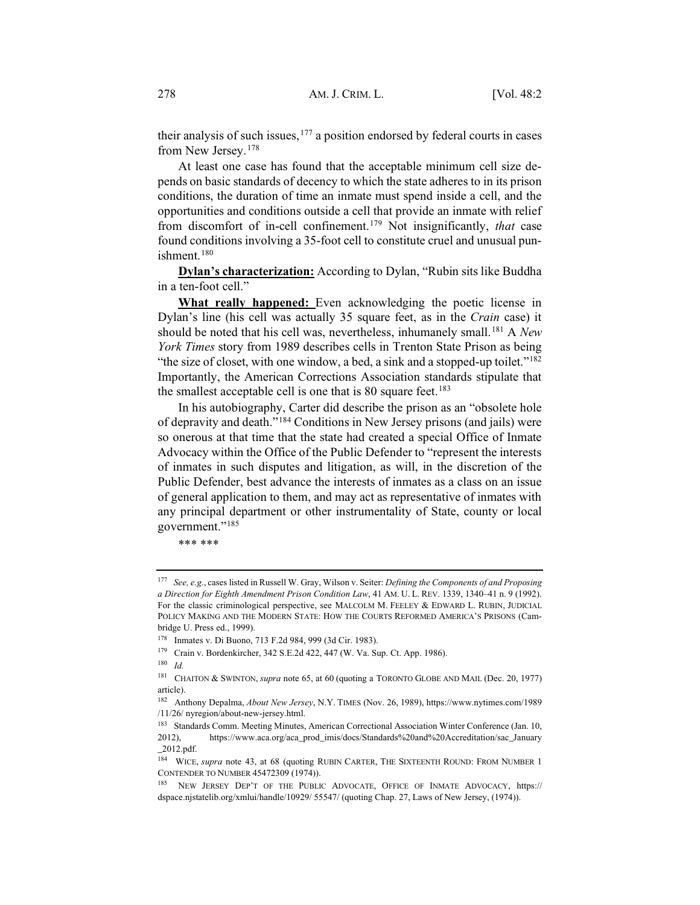their analysis of such issues,  $177$  a position endorsed by federal courts in cases from New Jersey.178

At least one case has found that the acceptable minimum cell size depends on basic standards of decency to which the state adheres to in its prison conditions, the duration of time an inmate must spend inside a cell, and the opportunities and conditions outside a cell that provide an inmate with relief from discomfort of in-cell confinement.179 Not insignificantly, *that* case found conditions involving a 35-foot cell to constitute cruel and unusual punishment.<sup>180</sup>

**Dylan's characterization:** According to Dylan, "Rubin sits like Buddha in a ten-foot cell."

**What really happened:** Even acknowledging the poetic license in Dylan's line (his cell was actually 35 square feet, as in the *Crain* case) it should be noted that his cell was, nevertheless, inhumanely small.<sup>181</sup> A *New York Times* story from 1989 describes cells in Trenton State Prison as being "the size of closet, with one window, a bed, a sink and a stopped-up toilet."<sup>182</sup> Importantly, the American Corrections Association standards stipulate that the smallest acceptable cell is one that is 80 square feet.<sup>183</sup>

In his autobiography, Carter did describe the prison as an "obsolete hole of depravity and death."184 Conditions in New Jersey prisons (and jails) were so onerous at that time that the state had created a special Office of Inmate Advocacy within the Office of the Public Defender to "represent the interests of inmates in such disputes and litigation, as will, in the discretion of the Public Defender, best advance the interests of inmates as a class on an issue of general application to them, and may act as representative of inmates with any principal department or other instrumentality of State, county or local government."<sup>185</sup>

\*\*\* \*\*\*

<sup>177</sup> *See, e.g.*, cases listed in Russell W. Gray, Wilson v. Seiter: *Defining the Components of and Proposing a Direction for Eighth Amendment Prison Condition Law*, 41 AM. U. L. REV. 1339, 1340–41 n. 9 (1992). For the classic criminological perspective, see MALCOLM M. FEELEY & EDWARD L. RUBIN, JUDICIAL POLICY MAKING AND THE MODERN STATE: HOW THE COURTS REFORMED AMERICA'S PRISONS (Cambridge U. Press ed., 1999).

<sup>178</sup> Inmates v. Di Buono, 713 F.2d 984, 999 (3d Cir. 1983).

<sup>179</sup> Crain v. Bordenkircher, 342 S.E.2d 422, 447 (W. Va. Sup. Ct. App. 1986).

<sup>180</sup> *Id.*

<sup>181</sup> CHAITON & SWINTON, *supra* note 65, at 60 (quoting a TORONTO GLOBE AND MAIL (Dec. 20, 1977) article).

<sup>182</sup> Anthony Depalma, *About New Jersey*, N.Y. TIMES (Nov. 26, 1989), https://www.nytimes.com/1989 /11/26/ nyregion/about-new-jersey.html.

<sup>&</sup>lt;sup>183</sup> Standards Comm. Meeting Minutes, American Correctional Association Winter Conference (Jan. 10, 2012), https://www.aca.org/aca\_prod\_imis/docs/Standards%20and%20Accreditation/sac\_January \_2012.pdf.

<sup>&</sup>lt;sup>184</sup> WICE, *supra* note 43, at 68 (quoting RUBIN CARTER, THE SIXTEENTH ROUND: FROM NUMBER 1 CONTENDER TO NUMBER 45472309 (1974)).

<sup>185</sup> NEW JERSEY DEP'T OF THE PUBLIC ADVOCATE, OFFICE OF INMATE ADVOCACY, https:// dspace.njstatelib.org/xmlui/handle/10929/ 55547/ (quoting Chap. 27, Laws of New Jersey, (1974)).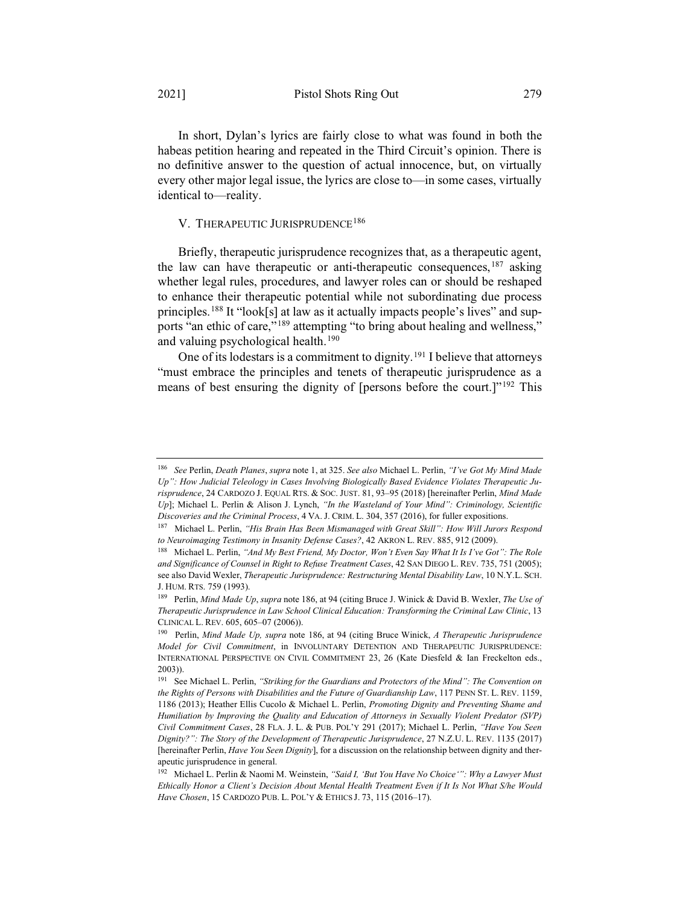In short, Dylan's lyrics are fairly close to what was found in both the habeas petition hearing and repeated in the Third Circuit's opinion. There is no definitive answer to the question of actual innocence, but, on virtually every other major legal issue, the lyrics are close to—in some cases, virtually identical to—reality.

# V. THERAPEUTIC JURISPRUDENCE186

Briefly, therapeutic jurisprudence recognizes that, as a therapeutic agent, the law can have therapeutic or anti-therapeutic consequences,  $187$  asking whether legal rules, procedures, and lawyer roles can or should be reshaped to enhance their therapeutic potential while not subordinating due process principles.188 It "look[s] at law as it actually impacts people's lives" and supports "an ethic of care,"<sup>189</sup> attempting "to bring about healing and wellness," and valuing psychological health.<sup>190</sup>

One of its lodestars is a commitment to dignity.<sup>191</sup> I believe that attorneys "must embrace the principles and tenets of therapeutic jurisprudence as a means of best ensuring the dignity of [persons before the court.]"192 This

<sup>186</sup> *See* Perlin, *Death Planes*, *supra* note 1, at 325. *See also* Michael L. Perlin, *"I've Got My Mind Made Up": How Judicial Teleology in Cases Involving Biologically Based Evidence Violates Therapeutic Jurisprudence*, 24 CARDOZO J. EQUAL RTS.&SOC. JUST. 81, 93–95 (2018) [hereinafter Perlin, *Mind Made Up*]; Michael L. Perlin & Alison J. Lynch, *"In the Wasteland of Your Mind": Criminology, Scientific Discoveries and the Criminal Process*,4VA. J. CRIM. L. 304, 357 (2016), for fuller expositions.

<sup>187</sup> Michael L. Perlin, *"His Brain Has Been Mismanaged with Great Skill": How Will Jurors Respond to Neuroimaging Testimony in Insanity Defense Cases?*, 42 AKRON L. REV. 885, 912 (2009).

<sup>188</sup> Michael L. Perlin, *"And My Best Friend, My Doctor, Won't Even Say What It Is I've Got": The Role and Significance of Counsel in Right to Refuse Treatment Cases*, 42 SAN DIEGO L. REV. 735, 751 (2005); see also David Wexler, *Therapeutic Jurisprudence: Restructuring Mental Disability Law*, 10 N.Y.L. SCH. J. HUM. RTS. 759 (1993).

<sup>189</sup> Perlin, *Mind Made Up*, *supra* note 186, at 94 (citing Bruce J. Winick & David B. Wexler, *The Use of Therapeutic Jurisprudence in Law School Clinical Education: Transforming the Criminal Law Clinic*, 13 CLINICAL L. REV. 605, 605–07 (2006)).

<sup>190</sup> Perlin, *Mind Made Up, supra* note 186, at 94 (citing Bruce Winick, *A Therapeutic Jurisprudence Model for Civil Commitment*, in INVOLUNTARY DETENTION AND THERAPEUTIC JURISPRUDENCE: INTERNATIONAL PERSPECTIVE ON CIVIL COMMITMENT 23, 26 (Kate Diesfeld & Ian Freckelton eds., 2003)).

<sup>191</sup> See Michael L. Perlin, *"Striking for the Guardians and Protectors of the Mind": The Convention on the Rights of Persons with Disabilities and the Future of Guardianship Law*, 117 PENN ST. L. REV. 1159, 1186 (2013); Heather Ellis Cucolo & Michael L. Perlin, *Promoting Dignity and Preventing Shame and Humiliation by Improving the Quality and Education of Attorneys in Sexually Violent Predator (SVP) Civil Commitment Cases*, 28 FLA. J. L. & PUB. POL'Y 291 (2017); Michael L. Perlin, *"Have You Seen Dignity?": The Story of the Development of Therapeutic Jurisprudence*, 27 N.Z.U. L. REV. 1135 (2017) [hereinafter Perlin, *Have You Seen Dignity*], for a discussion on the relationship between dignity and therapeutic jurisprudence in general.

<sup>192</sup> Michael L. Perlin & Naomi M. Weinstein, *"Said I, 'But You Have No Choice'": Why a Lawyer Must Ethically Honor a Client's Decision About Mental Health Treatment Even if It Is Not What S/he Would Have Chosen*, 15 CARDOZO PUB. L. POL'Y & ETHICS J. 73, 115 (2016–17).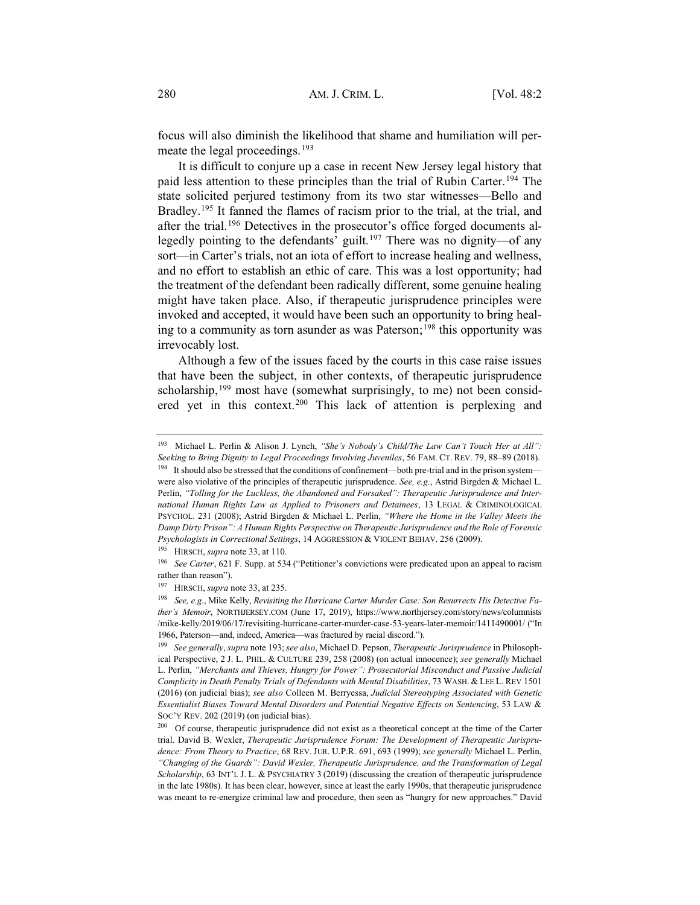focus will also diminish the likelihood that shame and humiliation will permeate the legal proceedings.<sup>193</sup>

It is difficult to conjure up a case in recent New Jersey legal history that paid less attention to these principles than the trial of Rubin Carter.<sup>194</sup> The state solicited perjured testimony from its two star witnesses—Bello and Bradley.<sup>195</sup> It fanned the flames of racism prior to the trial, at the trial, and after the trial.196 Detectives in the prosecutor's office forged documents allegedly pointing to the defendants<sup>7</sup> guilt.<sup>197</sup> There was no dignity—of any sort—in Carter's trials, not an iota of effort to increase healing and wellness, and no effort to establish an ethic of care. This was a lost opportunity; had the treatment of the defendant been radically different, some genuine healing might have taken place. Also, if therapeutic jurisprudence principles were invoked and accepted, it would have been such an opportunity to bring healing to a community as torn asunder as was Paterson;<sup>198</sup> this opportunity was irrevocably lost.

Although a few of the issues faced by the courts in this case raise issues that have been the subject, in other contexts, of therapeutic jurisprudence scholarship, $199$  most have (somewhat surprisingly, to me) not been considered yet in this context.<sup>200</sup> This lack of attention is perplexing and

<sup>195</sup> HIRSCH, *supra* note 33, at 110.

<sup>193</sup> Michael L. Perlin & Alison J. Lynch, *"She's Nobody's Child/The Law Can't Touch Her at All": Seeking to Bring Dignity to Legal Proceedings Involving Juveniles*, 56 FAM. CT. REV. 79, 88–89 (2018).

<sup>&</sup>lt;sup>194</sup> It should also be stressed that the conditions of confinement—both pre-trial and in the prison system were also violative of the principles of therapeutic jurisprudence. *See, e.g.*, Astrid Birgden & Michael L. Perlin, *"Tolling for the Luckless, the Abandoned and Forsaked": Therapeutic Jurisprudence and International Human Rights Law as Applied to Prisoners and Detainees*, 13 LEGAL & CRIMINOLOGICAL PSYCHOL. 231 (2008); Astrid Birgden & Michael L. Perlin, *"Where the Home in the Valley Meets the Damp Dirty Prison": A Human Rights Perspective on Therapeutic Jurisprudence and the Role of Forensic Psychologists in Correctional Settings*, 14 AGGRESSION & VIOLENT BEHAV. 256 (2009).

<sup>196</sup> *See Carter*, 621 F. Supp. at 534 ("Petitioner's convictions were predicated upon an appeal to racism rather than reason").

<sup>197</sup> HIRSCH, *supra* note 33, at 235.

<sup>198</sup> *See, e.g.*, Mike Kelly, *Revisiting the Hurricane Carter Murder Case: Son Resurrects His Detective Father's Memoir*, NORTHJERSEY.COM (June 17, 2019), https://www.northjersey.com/story/news/columnists /mike-kelly/2019/06/17/revisiting-hurricane-carter-murder-case-53-years-later-memoir/1411490001/ ("In 1966, Paterson—and, indeed, America—was fractured by racial discord.").

<sup>199</sup> *See generally*, *supra* note 193; *see also*, Michael D. Pepson, *Therapeutic Jurisprudence* in Philosophical Perspective, 2 J. L. PHIL.&CULTURE 239, 258 (2008) (on actual innocence); *see generally* Michael L. Perlin, *"Merchants and Thieves, Hungry for Power": Prosecutorial Misconduct and Passive Judicial Complicity in Death Penalty Trials of Defendants with Mental Disabilities*, 73 WASH.&LEE L. REV 1501 (2016) (on judicial bias); *see also* Colleen M. Berryessa, *Judicial Stereotyping Associated with Genetic Essentialist Biases Toward Mental Disorders and Potential Negative Effects on Sentencing*, 53 LAW & SOC'Y REV. 202 (2019) (on judicial bias).

<sup>&</sup>lt;sup>200</sup> Of course, therapeutic jurisprudence did not exist as a theoretical concept at the time of the Carter trial. David B. Wexler, *Therapeutic Jurisprudence Forum: The Development of Therapeutic Jurisprudence: From Theory to Practice*, 68 REV. JUR. U.P.R. 691, 693 (1999); *see generally* Michael L. Perlin, *"Changing of the Guards": David Wexler, Therapeutic Jurisprudence, and the Transformation of Legal Scholarship*, 63 INT'L J. L. & PSYCHIATRY 3 (2019) (discussing the creation of therapeutic jurisprudence in the late 1980s). It has been clear, however, since at least the early 1990s, that therapeutic jurisprudence was meant to re-energize criminal law and procedure, then seen as "hungry for new approaches." David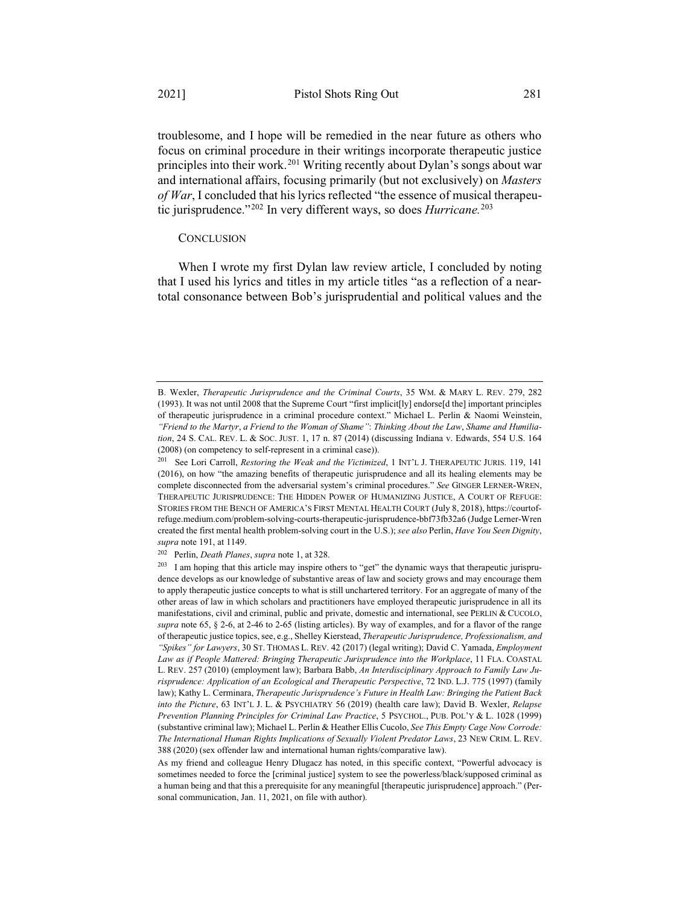troublesome, and I hope will be remedied in the near future as others who focus on criminal procedure in their writings incorporate therapeutic justice principles into their work.201 Writing recently about Dylan's songs about war and international affairs, focusing primarily (but not exclusively) on *Masters of War*, I concluded that his lyrics reflected "the essence of musical therapeutic jurisprudence."202 In very different ways, so does *Hurricane.*<sup>203</sup>

## **CONCLUSION**

When I wrote my first Dylan law review article, I concluded by noting that I used his lyrics and titles in my article titles "as a reflection of a neartotal consonance between Bob's jurisprudential and political values and the

B. Wexler, *Therapeutic Jurisprudence and the Criminal Courts*, 35 WM. & MARY L. REV. 279, 282 (1993). It was not until 2008 that the Supreme Court "first implicit[ly] endorse[d the] important principles of therapeutic jurisprudence in a criminal procedure context." Michael L. Perlin & Naomi Weinstein, *"Friend to the Martyr*, *a Friend to the Woman of Shame"*: *Thinking About the Law*, *Shame and Humiliation*, 24 S. CAL. REV. L. & SOC. JUST. 1, 17 n. 87 (2014) (discussing Indiana v. Edwards, 554 U.S. 164 (2008) (on competency to self-represent in a criminal case)).

<sup>201</sup> See Lori Carroll, *Restoring the Weak and the Victimized*, 1 INT'L J. THERAPEUTIC JURIS. 119, 141 (2016), on how "the amazing benefits of therapeutic jurisprudence and all its healing elements may be complete disconnected from the adversarial system's criminal procedures." *See* GINGER LERNER-WREN, THERAPEUTIC JURISPRUDENCE: THE HIDDEN POWER OF HUMANIZING JUSTICE, A COURT OF REFUGE: STORIES FROM THE BENCH OF AMERICA'S FIRST MENTAL HEALTH COURT (July 8, 2018), https://courtofrefuge.medium.com/problem-solving-courts-therapeutic-jurisprudence-bbf73fb32a6 (Judge Lerner-Wren created the first mental health problem-solving court in the U.S.); *see also* Perlin, *Have You Seen Dignity*, *supra* note 191, at 1149.

<sup>202</sup> Perlin, *Death Planes*, *supra* note 1, at 328.

<sup>&</sup>lt;sup>203</sup> I am hoping that this article may inspire others to "get" the dynamic ways that therapeutic jurisprudence develops as our knowledge of substantive areas of law and society grows and may encourage them to apply therapeutic justice concepts to what is still unchartered territory. For an aggregate of many of the other areas of law in which scholars and practitioners have employed therapeutic jurisprudence in all its manifestations, civil and criminal, public and private, domestic and international, see PERLIN & CUCOLO, *supra* note 65, § 2-6, at 2-46 to 2-65 (listing articles). By way of examples, and for a flavor of the range of therapeutic justice topics, see, e.g., Shelley Kierstead, *Therapeutic Jurisprudence, Professionalism, and "Spikes" for Lawyers*, 30 ST. THOMAS L. REV. 42 (2017) (legal writing); David C. Yamada, *Employment Law as if People Mattered: Bringing Therapeutic Jurisprudence into the Workplace*, 11 FLA. COASTAL L. REV. 257 (2010) (employment law); Barbara Babb, *An Interdisciplinary Approach to Family Law Jurisprudence: Application of an Ecological and Therapeutic Perspective*, 72 IND. L.J. 775 (1997) (family law); Kathy L. Cerminara, *Therapeutic Jurisprudence's Future in Health Law: Bringing the Patient Back into the Picture*, 63 INT'L J. L. & PSYCHIATRY 56 (2019) (health care law); David B. Wexler, *Relapse Prevention Planning Principles for Criminal Law Practice*, 5 PSYCHOL., PUB. POL'Y & L. 1028 (1999) (substantive criminal law); Michael L. Perlin & Heather Ellis Cucolo, *See This Empty Cage Now Corrode: The International Human Rights Implications of Sexually Violent Predator Laws*, 23 NEW CRIM. L. REV. 388 (2020) (sex offender law and international human rights/comparative law).

As my friend and colleague Henry Dlugacz has noted, in this specific context, "Powerful advocacy is sometimes needed to force the [criminal justice] system to see the powerless/black/supposed criminal as a human being and that this a prerequisite for any meaningful [therapeutic jurisprudence] approach." (Personal communication, Jan. 11, 2021, on file with author).